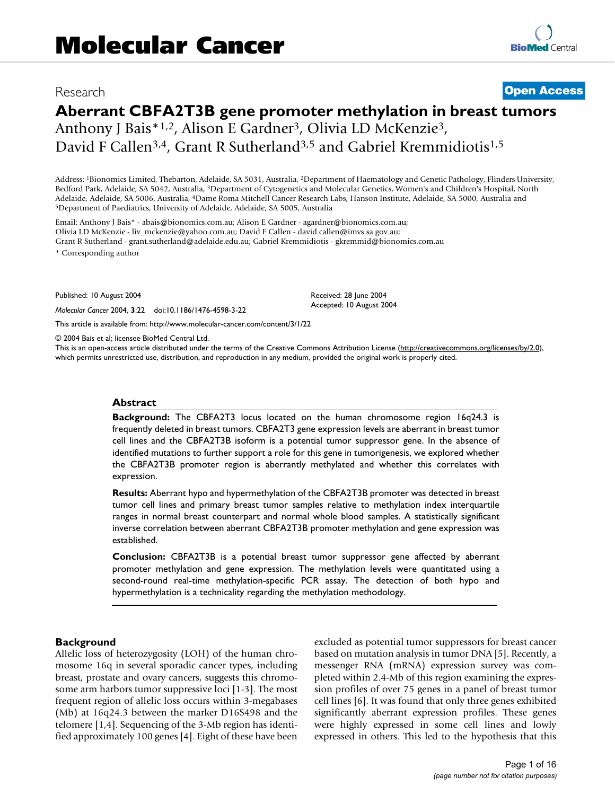# Research **[Open Access](http://www.biomedcentral.com/info/about/charter/)**

# **Aberrant CBFA2T3B gene promoter methylation in breast tumors**

Anthony J Bais\*1,2, Alison E Gardner<sup>3</sup>, Olivia LD McKenzie<sup>3</sup>, David F Callen<sup>3,4</sup>, Grant R Sutherland<sup>3,5</sup> and Gabriel Kremmidiotis<sup>1,5</sup>

Address: 1Bionomics Limited, Thebarton, Adelaide, SA 5031, Australia, 2Department of Haematology and Genetic Pathology, Flinders University, Bedford Park, Adelaide, SA 5042, Australia, 3Department of Cytogenetics and Molecular Genetics, Women's and Children's Hospital, North Adelaide, Adelaide, SA 5006, Australia, <sup>4</sup>Dame Roma Mitchell Cancer Research Labs, Hanson Institute, Adelaide, SA 5000, Australia and <sup>5</sup>Department of Paediatrics, University of Adelaide, Adelaide, SA 5005, Australia

Email: Anthony J Bais<sup>\*</sup> - abais@bionomics.com.au; Alison E Gardner - agardner@bionomics.com.au; Olivia LD McKenzie - liv\_mckenzie@yahoo.com.au; David F Callen - david.callen@imvs.sa.gov.au; Grant R Sutherland - grant.sutherland@adelaide.edu.au; Gabriel Kremmidiotis - gkremmid@bionomics.com.au

\* Corresponding author

Published: 10 August 2004

*Molecular Cancer* 2004, **3**:22 doi:10.1186/1476-4598-3-22

[This article is available from: http://www.molecular-cancer.com/content/3/1/22](http://www.molecular-cancer.com/content/3/1/22)

© 2004 Bais et al; licensee BioMed Central Ltd.

This is an open-access article distributed under the terms of the Creative Commons Attribution License (<http://creativecommons.org/licenses/by/2.0>), which permits unrestricted use, distribution, and reproduction in any medium, provided the original work is properly cited.

Received: 28 June 2004 Accepted: 10 August 2004

#### **Abstract**

**Background:** The CBFA2T3 locus located on the human chromosome region 16q24.3 is frequently deleted in breast tumors. CBFA2T3 gene expression levels are aberrant in breast tumor cell lines and the CBFA2T3B isoform is a potential tumor suppressor gene. In the absence of identified mutations to further support a role for this gene in tumorigenesis, we explored whether the CBFA2T3B promoter region is aberrantly methylated and whether this correlates with expression.

**Results:** Aberrant hypo and hypermethylation of the CBFA2T3B promoter was detected in breast tumor cell lines and primary breast tumor samples relative to methylation index interquartile ranges in normal breast counterpart and normal whole blood samples. A statistically significant inverse correlation between aberrant CBFA2T3B promoter methylation and gene expression was established.

**Conclusion:** CBFA2T3B is a potential breast tumor suppressor gene affected by aberrant promoter methylation and gene expression. The methylation levels were quantitated using a second-round real-time methylation-specific PCR assay. The detection of both hypo and hypermethylation is a technicality regarding the methylation methodology.

#### **Background**

Allelic loss of heterozygosity (LOH) of the human chromosome 16q in several sporadic cancer types, including breast, prostate and ovary cancers, suggests this chromosome arm harbors tumor suppressive loci [1-3]. The most frequent region of allelic loss occurs within 3-megabases (Mb) at 16q24.3 between the marker D16S498 and the telomere [1,4]. Sequencing of the 3-Mb region has identified approximately 100 genes [4]. Eight of these have been excluded as potential tumor suppressors for breast cancer based on mutation analysis in tumor DNA [5]. Recently, a messenger RNA (mRNA) expression survey was completed within 2.4-Mb of this region examining the expression profiles of over 75 genes in a panel of breast tumor cell lines [6]. It was found that only three genes exhibited significantly aberrant expression profiles. These genes were highly expressed in some cell lines and lowly expressed in others. This led to the hypothesis that this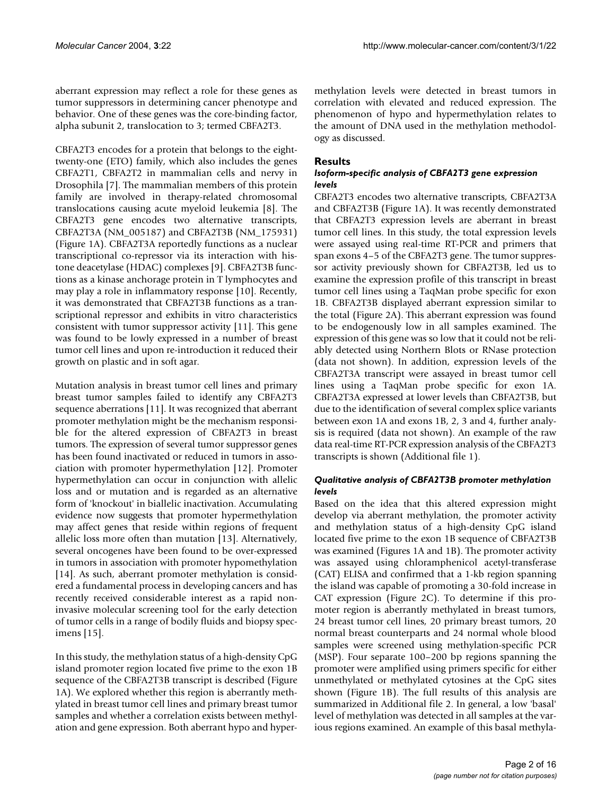aberrant expression may reflect a role for these genes as tumor suppressors in determining cancer phenotype and behavior. One of these genes was the core-binding factor, alpha subunit 2, translocation to 3; termed CBFA2T3.

CBFA2T3 encodes for a protein that belongs to the eighttwenty-one (ETO) family, which also includes the genes CBFA2T1, CBFA2T2 in mammalian cells and nervy in Drosophila [7]. The mammalian members of this protein family are involved in therapy-related chromosomal translocations causing acute myeloid leukemia [8]. The CBFA2T3 gene encodes two alternative transcripts, CBFA2T3A (NM\_005187) and CBFA2T3B (NM\_175931) (Figure 1A). CBFA2T3A reportedly functions as a nuclear transcriptional co-repressor via its interaction with histone deacetylase (HDAC) complexes [9]. CBFA2T3B functions as a kinase anchorage protein in T lymphocytes and may play a role in inflammatory response [10]. Recently, it was demonstrated that CBFA2T3B functions as a transcriptional repressor and exhibits in vitro characteristics consistent with tumor suppressor activity [11]. This gene was found to be lowly expressed in a number of breast tumor cell lines and upon re-introduction it reduced their growth on plastic and in soft agar.

Mutation analysis in breast tumor cell lines and primary breast tumor samples failed to identify any CBFA2T3 sequence aberrations [11]. It was recognized that aberrant promoter methylation might be the mechanism responsible for the altered expression of CBFA2T3 in breast tumors. The expression of several tumor suppressor genes has been found inactivated or reduced in tumors in association with promoter hypermethylation [12]. Promoter hypermethylation can occur in conjunction with allelic loss and or mutation and is regarded as an alternative form of 'knockout' in biallelic inactivation. Accumulating evidence now suggests that promoter hypermethylation may affect genes that reside within regions of frequent allelic loss more often than mutation [13]. Alternatively, several oncogenes have been found to be over-expressed in tumors in association with promoter hypomethylation [14]. As such, aberrant promoter methylation is considered a fundamental process in developing cancers and has recently received considerable interest as a rapid noninvasive molecular screening tool for the early detection of tumor cells in a range of bodily fluids and biopsy specimens [15].

In this study, the methylation status of a high-density CpG island promoter region located five prime to the exon 1B sequence of the CBFA2T3B transcript is described (Figure 1A). We explored whether this region is aberrantly methylated in breast tumor cell lines and primary breast tumor samples and whether a correlation exists between methylation and gene expression. Both aberrant hypo and hypermethylation levels were detected in breast tumors in correlation with elevated and reduced expression. The phenomenon of hypo and hypermethylation relates to the amount of DNA used in the methylation methodology as discussed.

# **Results**

## *Isoform-specific analysis of CBFA2T3 gene expression levels*

CBFA2T3 encodes two alternative transcripts, CBFA2T3A and CBFA2T3B (Figure 1A). It was recently demonstrated that CBFA2T3 expression levels are aberrant in breast tumor cell lines. In this study, the total expression levels were assayed using real-time RT-PCR and primers that span exons 4–5 of the CBFA2T3 gene. The tumor suppressor activity previously shown for CBFA2T3B, led us to examine the expression profile of this transcript in breast tumor cell lines using a TaqMan probe specific for exon 1B. CBFA2T3B displayed aberrant expression similar to the total (Figure [2](#page-3-0)A). This aberrant expression was found to be endogenously low in all samples examined. The expression of this gene was so low that it could not be reliably detected using Northern Blots or RNase protection (data not shown). In addition, expression levels of the CBFA2T3A transcript were assayed in breast tumor cell lines using a TaqMan probe specific for exon 1A. CBFA2T3A expressed at lower levels than CBFA2T3B, but due to the identification of several complex splice variants between exon 1A and exons 1B, 2, 3 and 4, further analysis is required (data not shown). An example of the raw data real-time RT-PCR expression analysis of the CBFA2T3 transcripts is shown (Additional file 1).

## *Qualitative analysis of CBFA2T3B promoter methylation levels*

Based on the idea that this altered expression might develop via aberrant methylation, the promoter activity and methylation status of a high-density CpG island located five prime to the exon 1B sequence of CBFA2T3B was examined (Figures 1A and 1B). The promoter activity was assayed using chloramphenicol acetyl-transferase (CAT) ELISA and confirmed that a 1-kb region spanning the island was capable of promoting a 30-fold increase in CAT expression (Figure [2C](#page-3-0)). To determine if this promoter region is aberrantly methylated in breast tumors, 24 breast tumor cell lines, 20 primary breast tumors, 20 normal breast counterparts and 24 normal whole blood samples were screened using methylation-specific PCR (MSP). Four separate 100–200 bp regions spanning the promoter were amplified using primers specific for either unmethylated or methylated cytosines at the CpG sites shown (Figure 1B). The full results of this analysis are summarized in Additional file 2. In general, a low 'basal' level of methylation was detected in all samples at the various regions examined. An example of this basal methyla-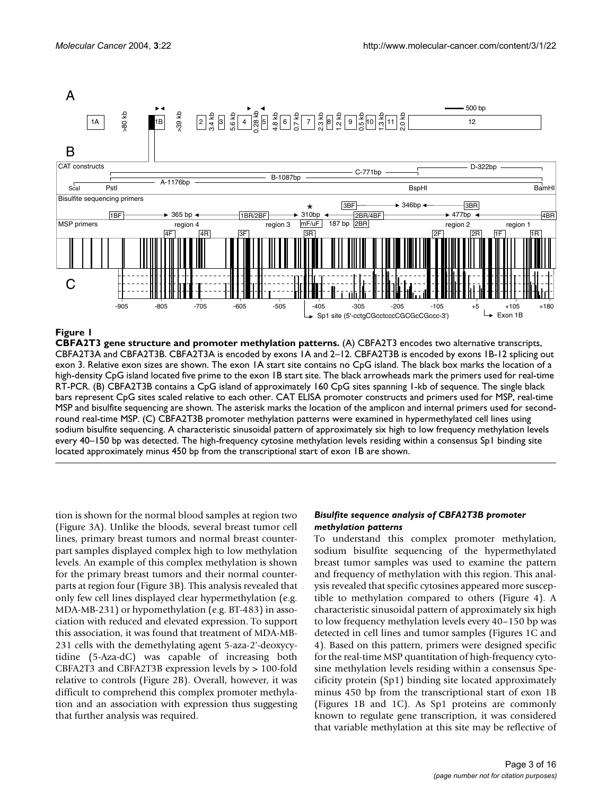

**CBFA2T3 gene structure and promoter methylation patterns.** (A) CBFA2T3 encodes two alternative transcripts, CBFA2T3A and CBFA2T3B. CBFA2T3A is encoded by exons 1A and 2–12. CBFA2T3B is encoded by exons 1B-12 splicing out exon 3. Relative exon sizes are shown. The exon 1A start site contains no CpG island. The black box marks the location of a high-density CpG island located five prime to the exon 1B start site. The black arrowheads mark the primers used for real-time RT-PCR. (B) CBFA2T3B contains a CpG island of approximately 160 CpG sites spanning 1-kb of sequence. The single black bars represent CpG sites scaled relative to each other. CAT ELISA promoter constructs and primers used for MSP, real-time MSP and bisulfite sequencing are shown. The asterisk marks the location of the amplicon and internal primers used for secondround real-time MSP. (C) CBFA2T3B promoter methylation patterns were examined in hypermethylated cell lines using sodium bisulfite sequencing. A characteristic sinusoidal pattern of approximately six high to low frequency methylation levels every 40–150 bp was detected. The high-frequency cytosine methylation levels residing within a consensus Sp1 binding site located approximately minus 450 bp from the transcriptional start of exon 1B are shown.

tion is shown for the normal blood samples at region two (Figure [3A](#page-4-0)). Unlike the bloods, several breast tumor cell lines, primary breast tumors and normal breast counterpart samples displayed complex high to low methylation levels. An example of this complex methylation is shown for the primary breast tumors and their normal counterparts at region four (Figure [3](#page-4-0)B). This analysis revealed that only few cell lines displayed clear hypermethylation (e.g. MDA-MB-231) or hypomethylation (e.g. BT-483) in association with reduced and elevated expression. To support this association, it was found that treatment of MDA-MB-231 cells with the demethylating agent 5-aza-2'-deoxycytidine (5-Aza-dC) was capable of increasing both CBFA2T3 and CBFA2T3B expression levels by > 100-fold relative to controls (Figure [2](#page-3-0)B). Overall, however, it was difficult to comprehend this complex promoter methylation and an association with expression thus suggesting that further analysis was required.

#### *Bisulfite sequence analysis of CBFA2T3B promoter methylation patterns*

To understand this complex promoter methylation, sodium bisulfite sequencing of the hypermethylated breast tumor samples was used to examine the pattern and frequency of methylation with this region. This analysis revealed that specific cytosines appeared more susceptible to methylation compared to others (Figure 4). A characteristic sinusoidal pattern of approximately six high to low frequency methylation levels every 40–150 bp was detected in cell lines and tumor samples (Figures 1C and 4). Based on this pattern, primers were designed specific for the real-time MSP quantitation of high-frequency cytosine methylation levels residing within a consensus Specificity protein (Sp1) binding site located approximately minus 450 bp from the transcriptional start of exon 1B (Figures 1B and 1C). As Sp1 proteins are commonly known to regulate gene transcription, it was considered that variable methylation at this site may be reflective of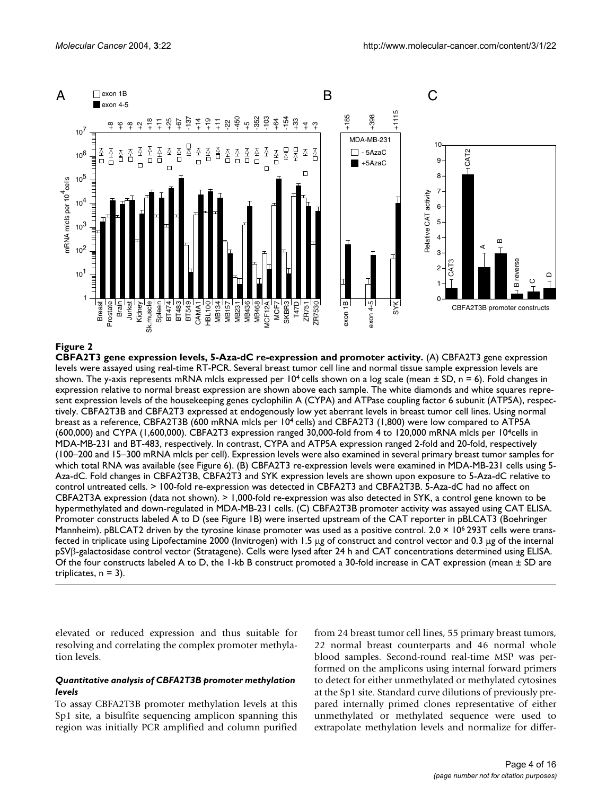<span id="page-3-0"></span>

**CBFA2T3 gene expression levels, 5-Aza-dC re-expression and promoter activity.** (A) CBFA2T3 gene expression levels were assayed using real-time RT-PCR. Several breast tumor cell line and normal tissue sample expression levels are shown. The y-axis represents mRNA mlcls expressed per  $10<sup>4</sup>$  cells shown on a log scale (mean  $\pm$  SD, n = 6). Fold changes in expression relative to normal breast expression are shown above each sample. The white diamonds and white squares represent expression levels of the housekeeping genes cyclophilin A (CYPA) and ATPase coupling factor 6 subunit (ATP5A), respectively. CBFA2T3B and CBFA2T3 expressed at endogenously low yet aberrant levels in breast tumor cell lines. Using normal breast as a reference, CBFA2T3B (600 mRNA mlcls per 104 cells) and CBFA2T3 (1,800) were low compared to ATP5A (600,000) and CYPA (1,600,000). CBFA2T3 expression ranged 30,000-fold from 4 to 120,000 mRNA mlcls per 10<sup>4</sup>cells in MDA-MB-231 and BT-483, respectively. In contrast, CYPA and ATP5A expression ranged 2-fold and 20-fold, respectively (100–200 and 15–300 mRNA mlcls per cell). Expression levels were also examined in several primary breast tumor samples for which total RNA was available (see Figure 6). (B) CBFA2T3 re-expression levels were examined in MDA-MB-231 cells using 5- Aza-dC. Fold changes in CBFA2T3B, CBFA2T3 and SYK expression levels are shown upon exposure to 5-Aza-dC relative to control untreated cells. > 100-fold re-expression was detected in CBFA2T3 and CBFA2T3B. 5-Aza-dC had no affect on CBFA2T3A expression (data not shown). > 1,000-fold re-expression was also detected in SYK, a control gene known to be hypermethylated and down-regulated in MDA-MB-231 cells. (C) CBFA2T3B promoter activity was assayed using CAT ELISA. Promoter constructs labeled A to D (see Figure 1B) were inserted upstream of the CAT reporter in pBLCAT3 (Boehringer Mannheim). pBLCAT2 driven by the tyrosine kinase promoter was used as a positive control.  $2.0 \times 10^6$  293T cells were transfected in triplicate using Lipofectamine 2000 (Invitrogen) with 1.5 µg of construct and control vector and 0.3 µg of the internal pSVβ-galactosidase control vector (Stratagene). Cells were lysed after 24 h and CAT concentrations determined using ELISA. Of the four constructs labeled A to D, the 1-kb B construct promoted a 30-fold increase in CAT expression (mean ± SD are triplicates,  $n = 3$ ).

elevated or reduced expression and thus suitable for resolving and correlating the complex promoter methylation levels.

## *Quantitative analysis of CBFA2T3B promoter methylation levels*

To assay CBFA2T3B promoter methylation levels at this Sp1 site, a bisulfite sequencing amplicon spanning this region was initially PCR amplified and column purified from 24 breast tumor cell lines, 55 primary breast tumors, 22 normal breast counterparts and 46 normal whole blood samples. Second-round real-time MSP was performed on the amplicons using internal forward primers to detect for either unmethylated or methylated cytosines at the Sp1 site. Standard curve dilutions of previously prepared internally primed clones representative of either unmethylated or methylated sequence were used to extrapolate methylation levels and normalize for differ-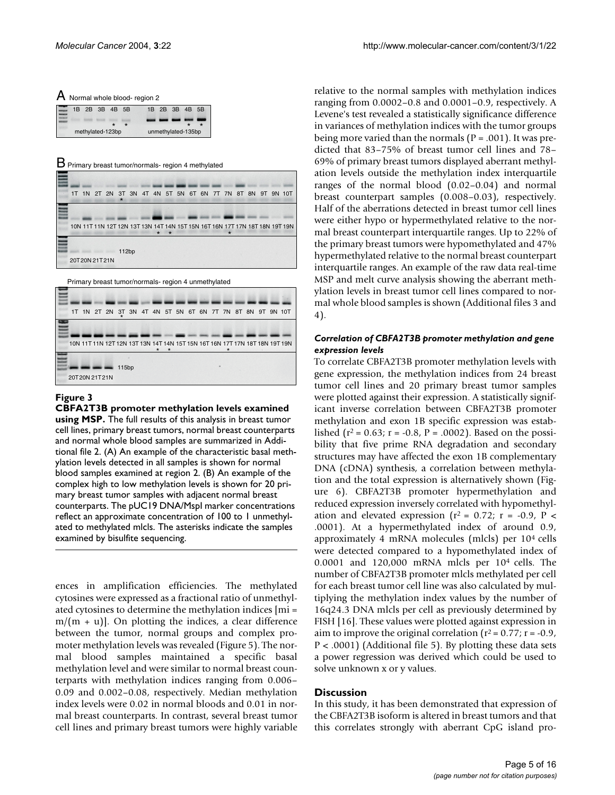<span id="page-4-0"></span>

|                         |  |  | $A$ Normal whole blood- region 2 |                |  |
|-------------------------|--|--|----------------------------------|----------------|--|
| $\equiv$ 1B 2B 3B 4B 5B |  |  |                                  | 1B 2B 3B 4B 5B |  |

| methylated-123bp | unmethylated-135bp |  |  |  |  |  |  |  |
|------------------|--------------------|--|--|--|--|--|--|--|

 $B$  Primary breast tumor/normals- region 4 methylated

|               |  | $\star$ |  |  | 1T 1N 2T 2N 3T 3N 4T 4N 5T 5N 6T 6N 7T 7N 8T 8N 9T 9N 10T |  |  |  |                                                                             |
|---------------|--|---------|--|--|-----------------------------------------------------------|--|--|--|-----------------------------------------------------------------------------|
|               |  |         |  |  |                                                           |  |  |  |                                                                             |
|               |  |         |  |  |                                                           |  |  |  | 10N 11T 11N 12T 12N 13T 13N 14T 14N 15T 15N 16T 16N 17T 17N 18T 18N 19T 19N |
|               |  |         |  |  |                                                           |  |  |  |                                                                             |
|               |  | 112bp   |  |  |                                                           |  |  |  |                                                                             |
| 20T20N 21T21N |  |         |  |  |                                                           |  |  |  |                                                                             |

Primary breast tumor/normals- region 4 unmethylated



**CBFA2T3B promoter methylation levels examined using MSP.** The full results of this analysis in breast tumor cell lines, primary breast tumors, normal breast counterparts and normal whole blood samples are summarized in Additional file 2. (A) An example of the characteristic basal methylation levels detected in all samples is shown for normal blood samples examined at region 2. (B) An example of the complex high to low methylation levels is shown for 20 primary breast tumor samples with adjacent normal breast counterparts. The pUC19 DNA/MspI marker concentrations reflect an approximate concentration of 100 to 1 unmethylated to methylated mlcls. The asterisks indicate the samples examined by bisulfite sequencing.

ences in amplification efficiencies. The methylated cytosines were expressed as a fractional ratio of unmethylated cytosines to determine the methylation indices [mi =  $m/(m + u)$ . On plotting the indices, a clear difference between the tumor, normal groups and complex promoter methylation levels was revealed (Figure 5). The normal blood samples maintained a specific basal methylation level and were similar to normal breast counterparts with methylation indices ranging from 0.006– 0.09 and 0.002–0.08, respectively. Median methylation index levels were 0.02 in normal bloods and 0.01 in normal breast counterparts. In contrast, several breast tumor cell lines and primary breast tumors were highly variable relative to the normal samples with methylation indices ranging from 0.0002–0.8 and 0.0001–0.9, respectively. A Levene's test revealed a statistically significance difference in variances of methylation indices with the tumor groups being more varied than the normals ( $P = .001$ ). It was predicted that 83–75% of breast tumor cell lines and 78– 69% of primary breast tumors displayed aberrant methylation levels outside the methylation index interquartile ranges of the normal blood (0.02–0.04) and normal breast counterpart samples (0.008–0.03), respectively. Half of the aberrations detected in breast tumor cell lines were either hypo or hypermethylated relative to the normal breast counterpart interquartile ranges. Up to 22% of the primary breast tumors were hypomethylated and 47% hypermethylated relative to the normal breast counterpart interquartile ranges. An example of the raw data real-time MSP and melt curve analysis showing the aberrant methylation levels in breast tumor cell lines compared to normal whole blood samples is shown (Additional files 3 and 4).

#### *Correlation of CBFA2T3B promoter methylation and gene expression levels*

To correlate CBFA2T3B promoter methylation levels with gene expression, the methylation indices from 24 breast tumor cell lines and 20 primary breast tumor samples were plotted against their expression. A statistically significant inverse correlation between CBFA2T3B promoter methylation and exon 1B specific expression was established ( $r^2$  = 0.63;  $r = -0.8$ ,  $P = .0002$ ). Based on the possibility that five prime RNA degradation and secondary structures may have affected the exon 1B complementary DNA (cDNA) synthesis, a correlation between methylation and the total expression is alternatively shown (Figure [6\)](#page-7-0). CBFA2T3B promoter hypermethylation and reduced expression inversely correlated with hypomethylation and elevated expression ( $r^2$  = 0.72;  $r$  = -0.9,  $P$  < .0001). At a hypermethylated index of around 0.9, approximately 4 mRNA molecules (mlcls) per 104 cells were detected compared to a hypomethylated index of 0.0001 and 120,000 mRNA mlcls per 104 cells. The number of CBFA2T3B promoter mlcls methylated per cell for each breast tumor cell line was also calculated by multiplying the methylation index values by the number of 16q24.3 DNA mlcls per cell as previously determined by FISH [16]. These values were plotted against expression in aim to improve the original correlation ( $r^2$  = 0.77; r = -0.9, P < .0001) (Additional file 5). By plotting these data sets a power regression was derived which could be used to solve unknown x or y values.

#### **Discussion**

In this study, it has been demonstrated that expression of the CBFA2T3B isoform is altered in breast tumors and that this correlates strongly with aberrant CpG island pro-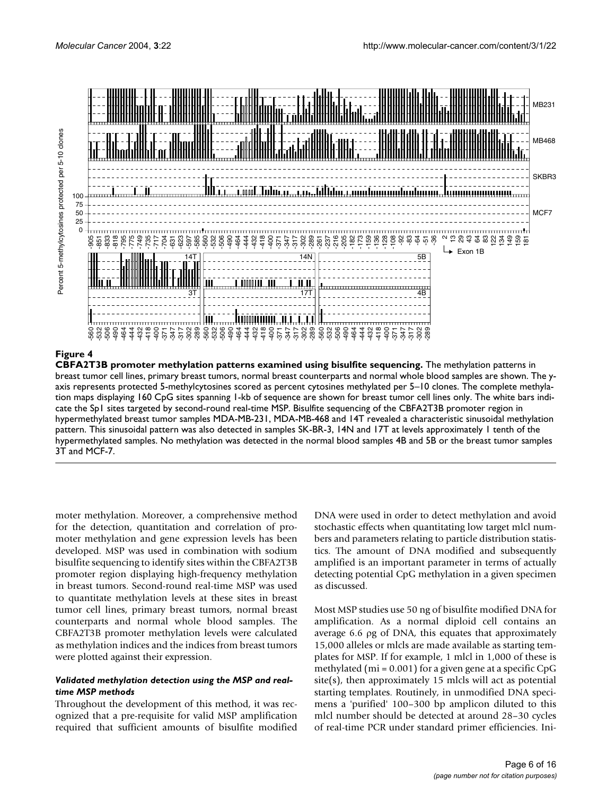

**CBFA2T3B promoter methylation patterns examined using bisulfite sequencing.** The methylation patterns in breast tumor cell lines, primary breast tumors, normal breast counterparts and normal whole blood samples are shown. The yaxis represents protected 5-methylcytosines scored as percent cytosines methylated per 5–10 clones. The complete methylation maps displaying 160 CpG sites spanning 1-kb of sequence are shown for breast tumor cell lines only. The white bars indicate the Sp1 sites targeted by second-round real-time MSP. Bisulfite sequencing of the CBFA2T3B promoter region in hypermethylated breast tumor samples MDA-MB-231, MDA-MB-468 and 14T revealed a characteristic sinusoidal methylation pattern. This sinusoidal pattern was also detected in samples SK-BR-3, 14N and 17T at levels approximately 1 tenth of the hypermethylated samples. No methylation was detected in the normal blood samples 4B and 5B or the breast tumor samples 3T and MCF-7.

moter methylation. Moreover, a comprehensive method for the detection, quantitation and correlation of promoter methylation and gene expression levels has been developed. MSP was used in combination with sodium bisulfite sequencing to identify sites within the CBFA2T3B promoter region displaying high-frequency methylation in breast tumors. Second-round real-time MSP was used to quantitate methylation levels at these sites in breast tumor cell lines, primary breast tumors, normal breast counterparts and normal whole blood samples. The CBFA2T3B promoter methylation levels were calculated as methylation indices and the indices from breast tumors were plotted against their expression.

## *Validated methylation detection using the MSP and realtime MSP methods*

Throughout the development of this method, it was recognized that a pre-requisite for valid MSP amplification required that sufficient amounts of bisulfite modified

DNA were used in order to detect methylation and avoid stochastic effects when quantitating low target mlcl numbers and parameters relating to particle distribution statistics. The amount of DNA modified and subsequently amplified is an important parameter in terms of actually detecting potential CpG methylation in a given specimen as discussed.

Most MSP studies use 50 ng of bisulfite modified DNA for amplification. As a normal diploid cell contains an average 6.6 ρg of DNA, this equates that approximately 15,000 alleles or mlcls are made available as starting templates for MSP. If for example, 1 mlcl in 1,000 of these is methylated ( $mi = 0.001$ ) for a given gene at a specific CpG site(s), then approximately 15 mlcls will act as potential starting templates. Routinely, in unmodified DNA specimens a 'purified' 100–300 bp amplicon diluted to this mlcl number should be detected at around 28–30 cycles of real-time PCR under standard primer efficiencies. Ini-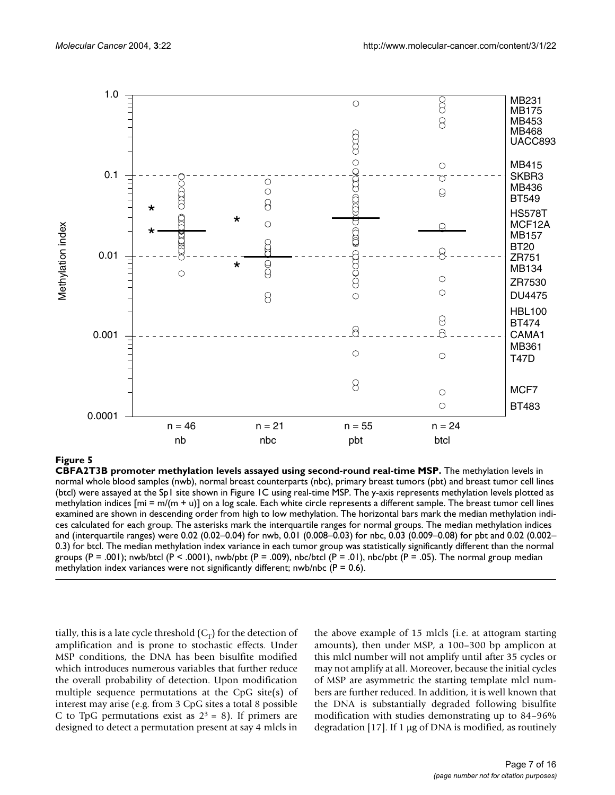

#### CBFA2T3B promoter methylation levels as **Figure 5** sayed using second-round real-time MSP

**CBFA2T3B promoter methylation levels assayed using second-round real-time MSP.** The methylation levels in normal whole blood samples (nwb), normal breast counterparts (nbc), primary breast tumors (pbt) and breast tumor cell lines (btcl) were assayed at the Sp1 site shown in Figure 1C using real-time MSP. The y-axis represents methylation levels plotted as methylation indices  $[m = m/(m + u)]$  on a log scale. Each white circle represents a different sample. The breast tumor cell lines examined are shown in descending order from high to low methylation. The horizontal bars mark the median methylation indices calculated for each group. The asterisks mark the interquartile ranges for normal groups. The median methylation indices and (interquartile ranges) were 0.02 (0.02–0.04) for nwb, 0.01 (0.008–0.03) for nbc, 0.03 (0.009–0.08) for pbt and 0.02 (0.002– 0.3) for btcl. The median methylation index variance in each tumor group was statistically significantly different than the normal groups (P = .001); nwb/btcl (P < .0001), nwb/pbt (P = .009), nbc/btcl (P = .01), nbc/pbt (P = .05). The normal group median

tially, this is a late cycle threshold  $(C_T)$  for the detection of amplification and is prone to stochastic effects. Under MSP conditions, the DNA has been bisulfite modified which introduces numerous variables that further reduce the overall probability of detection. Upon modification multiple sequence permutations at the CpG site(s) of interest may arise (e.g. from 3 CpG sites a total 8 possible C to TpG permutations exist as  $2<sup>3</sup> = 8$ ). If primers are designed to detect a permutation present at say 4 mlcls in the above example of 15 mlcls (i.e. at attogram starting amounts), then under MSP, a 100–300 bp amplicon at this mlcl number will not amplify until after 35 cycles or may not amplify at all. Moreover, because the initial cycles of MSP are asymmetric the starting template mlcl numbers are further reduced. In addition, it is well known that the DNA is substantially degraded following bisulfite modification with studies demonstrating up to 84–96% degradation [17]. If 1 µg of DNA is modified, as routinely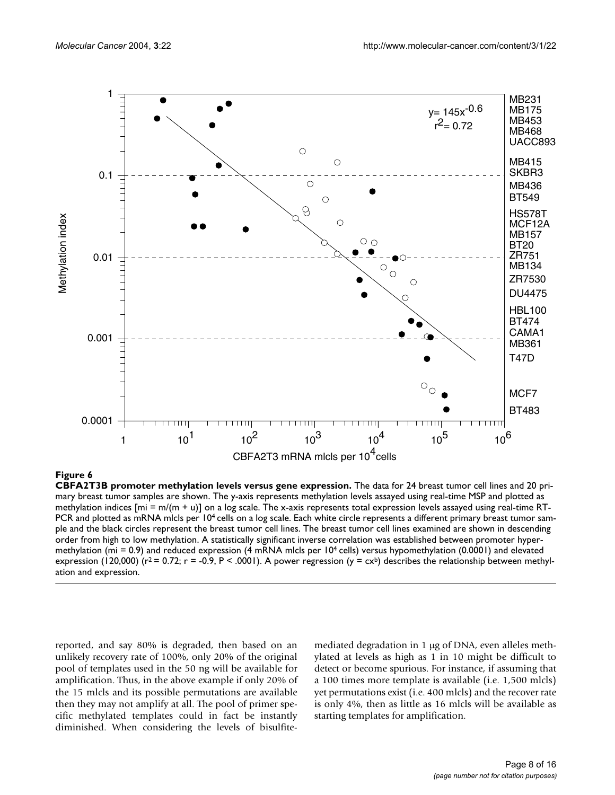<span id="page-7-0"></span>

**CBFA2T3B promoter methylation levels versus gene expression.** The data for 24 breast tumor cell lines and 20 primary breast tumor samples are shown. The y-axis represents methylation levels assayed using real-time MSP and plotted as methylation indices  $[mi = m/(m + u)]$  on a log scale. The x-axis represents total expression levels assayed using real-time RT-PCR and plotted as mRNA mlcls per 10<sup>4</sup> cells on a log scale. Each white circle represents a different primary breast tumor sample and the black circles represent the breast tumor cell lines. The breast tumor cell lines examined are shown in descending order from high to low methylation. A statistically significant inverse correlation was established between promoter hypermethylation (mi = 0.9) and reduced expression (4 mRNA mlcls per  $10<sup>4</sup>$  cells) versus hypomethylation (0.0001) and elevated expression (120,000) ( $r^2$  = 0.72;  $r = -0.9$ , P < .0001). A power regression ( $y = cx^b$ ) describes the relationship between methyl-

reported, and say 80% is degraded, then based on an unlikely recovery rate of 100%, only 20% of the original pool of templates used in the 50 ng will be available for amplification. Thus, in the above example if only 20% of the 15 mlcls and its possible permutations are available then they may not amplify at all. The pool of primer specific methylated templates could in fact be instantly diminished. When considering the levels of bisulfitemediated degradation in 1 µg of DNA, even alleles methylated at levels as high as 1 in 10 might be difficult to detect or become spurious. For instance, if assuming that a 100 times more template is available (i.e. 1,500 mlcls) yet permutations exist (i.e. 400 mlcls) and the recover rate is only 4%, then as little as 16 mlcls will be available as starting templates for amplification.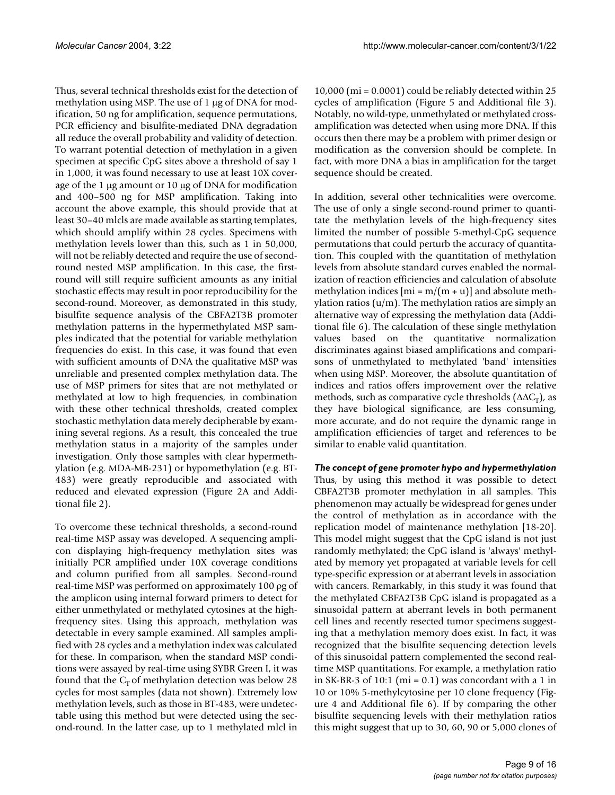Thus, several technical thresholds exist for the detection of methylation using MSP. The use of 1 µg of DNA for modification, 50 ng for amplification, sequence permutations, PCR efficiency and bisulfite-mediated DNA degradation all reduce the overall probability and validity of detection. To warrant potential detection of methylation in a given specimen at specific CpG sites above a threshold of say 1 in 1,000, it was found necessary to use at least 10X coverage of the 1 µg amount or 10 µg of DNA for modification and 400–500 ng for MSP amplification. Taking into account the above example, this should provide that at least 30–40 mlcls are made available as starting templates, which should amplify within 28 cycles. Specimens with methylation levels lower than this, such as 1 in 50,000, will not be reliably detected and require the use of secondround nested MSP amplification. In this case, the firstround will still require sufficient amounts as any initial stochastic effects may result in poor reproducibility for the second-round. Moreover, as demonstrated in this study, bisulfite sequence analysis of the CBFA2T3B promoter methylation patterns in the hypermethylated MSP samples indicated that the potential for variable methylation frequencies do exist. In this case, it was found that even with sufficient amounts of DNA the qualitative MSP was unreliable and presented complex methylation data. The use of MSP primers for sites that are not methylated or methylated at low to high frequencies, in combination with these other technical thresholds, created complex stochastic methylation data merely decipherable by examining several regions. As a result, this concealed the true methylation status in a majority of the samples under investigation. Only those samples with clear hypermethylation (e.g. MDA-MB-231) or hypomethylation (e.g. BT-483) were greatly reproducible and associated with reduced and elevated expression (Figure [2](#page-3-0)A and Additional file 2).

To overcome these technical thresholds, a second-round real-time MSP assay was developed. A sequencing amplicon displaying high-frequency methylation sites was initially PCR amplified under 10X coverage conditions and column purified from all samples. Second-round real-time MSP was performed on approximately 100 ρg of the amplicon using internal forward primers to detect for either unmethylated or methylated cytosines at the highfrequency sites. Using this approach, methylation was detectable in every sample examined. All samples amplified with 28 cycles and a methylation index was calculated for these. In comparison, when the standard MSP conditions were assayed by real-time using SYBR Green I, it was found that the  $C_T$  of methylation detection was below 28 cycles for most samples (data not shown). Extremely low methylation levels, such as those in BT-483, were undetectable using this method but were detected using the second-round. In the latter case, up to 1 methylated mlcl in

10,000 (mi = 0.0001) could be reliably detected within 25 cycles of amplification (Figure 5 and Additional file 3). Notably, no wild-type, unmethylated or methylated crossamplification was detected when using more DNA. If this occurs then there may be a problem with primer design or modification as the conversion should be complete. In fact, with more DNA a bias in amplification for the target sequence should be created.

In addition, several other technicalities were overcome. The use of only a single second-round primer to quantitate the methylation levels of the high-frequency sites limited the number of possible 5-methyl-CpG sequence permutations that could perturb the accuracy of quantitation. This coupled with the quantitation of methylation levels from absolute standard curves enabled the normalization of reaction efficiencies and calculation of absolute methylation indices  $[m = m/(m + u)]$  and absolute methylation ratios (u/m). The methylation ratios are simply an alternative way of expressing the methylation data (Additional file 6). The calculation of these single methylation values based on the quantitative normalization discriminates against biased amplifications and comparisons of unmethylated to methylated 'band' intensities when using MSP. Moreover, the absolute quantitation of indices and ratios offers improvement over the relative methods, such as comparative cycle thresholds ( $\Delta\Delta C_T$ ), as they have biological significance, are less consuming, more accurate, and do not require the dynamic range in amplification efficiencies of target and references to be similar to enable valid quantitation.

*The concept of gene promoter hypo and hypermethylation* Thus, by using this method it was possible to detect CBFA2T3B promoter methylation in all samples. This phenomenon may actually be widespread for genes under the control of methylation as in accordance with the replication model of maintenance methylation [18-20]. This model might suggest that the CpG island is not just randomly methylated; the CpG island is 'always' methylated by memory yet propagated at variable levels for cell type-specific expression or at aberrant levels in association with cancers. Remarkably, in this study it was found that the methylated CBFA2T3B CpG island is propagated as a sinusoidal pattern at aberrant levels in both permanent cell lines and recently resected tumor specimens suggesting that a methylation memory does exist. In fact, it was recognized that the bisulfite sequencing detection levels of this sinusoidal pattern complemented the second realtime MSP quantitations. For example, a methylation ratio in SK-BR-3 of 10:1 ( $mi = 0.1$ ) was concordant with a 1 in 10 or 10% 5-methylcytosine per 10 clone frequency (Figure 4 and Additional file 6). If by comparing the other bisulfite sequencing levels with their methylation ratios this might suggest that up to 30, 60, 90 or 5,000 clones of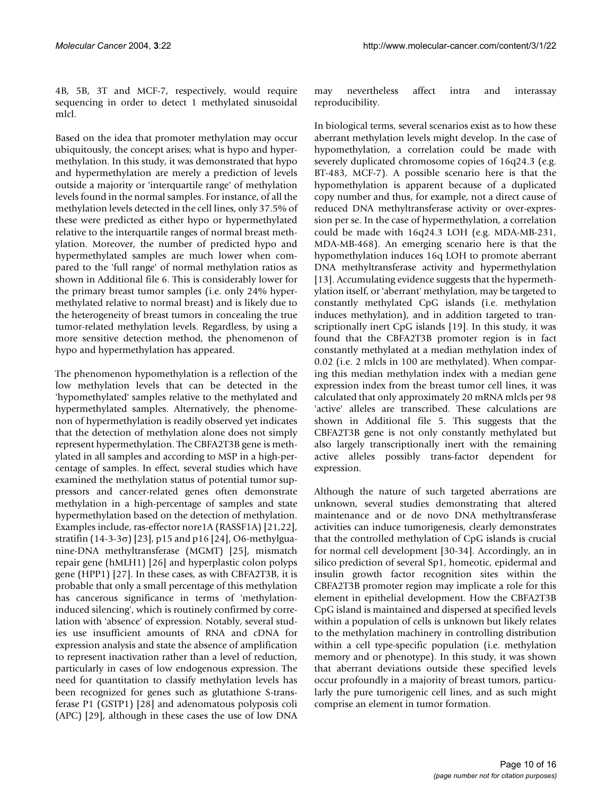4B, 5B, 3T and MCF-7, respectively, would require sequencing in order to detect 1 methylated sinusoidal mlcl.

Based on the idea that promoter methylation may occur ubiquitously, the concept arises; what is hypo and hypermethylation. In this study, it was demonstrated that hypo and hypermethylation are merely a prediction of levels outside a majority or 'interquartile range' of methylation levels found in the normal samples. For instance, of all the methylation levels detected in the cell lines, only 37.5% of these were predicted as either hypo or hypermethylated relative to the interquartile ranges of normal breast methylation. Moreover, the number of predicted hypo and hypermethylated samples are much lower when compared to the 'full range' of normal methylation ratios as shown in Additional file 6. This is considerably lower for the primary breast tumor samples (i.e. only 24% hypermethylated relative to normal breast) and is likely due to the heterogeneity of breast tumors in concealing the true tumor-related methylation levels. Regardless, by using a more sensitive detection method, the phenomenon of hypo and hypermethylation has appeared.

The phenomenon hypomethylation is a reflection of the low methylation levels that can be detected in the 'hypomethylated' samples relative to the methylated and hypermethylated samples. Alternatively, the phenomenon of hypermethylation is readily observed yet indicates that the detection of methylation alone does not simply represent hypermethylation. The CBFA2T3B gene is methylated in all samples and according to MSP in a high-percentage of samples. In effect, several studies which have examined the methylation status of potential tumor suppressors and cancer-related genes often demonstrate methylation in a high-percentage of samples and state hypermethylation based on the detection of methylation. Examples include, ras-effector nore1A (RASSF1A) [21,22], stratifin (14-3-3σ) [23], p15 and p16 [24], O6-methylguanine-DNA methyltransferase (MGMT) [25], mismatch repair gene (hMLH1) [26] and hyperplastic colon polyps gene (HPP1) [27]. In these cases, as with CBFA2T3B, it is probable that only a small percentage of this methylation has cancerous significance in terms of 'methylationinduced silencing', which is routinely confirmed by correlation with 'absence' of expression. Notably, several studies use insufficient amounts of RNA and cDNA for expression analysis and state the absence of amplification to represent inactivation rather than a level of reduction, particularly in cases of low endogenous expression. The need for quantitation to classify methylation levels has been recognized for genes such as glutathione S-transferase P1 (GSTP1) [28] and adenomatous polyposis coli (APC) [29], although in these cases the use of low DNA may nevertheless affect intra and interassay reproducibility.

In biological terms, several scenarios exist as to how these aberrant methylation levels might develop. In the case of hypomethylation, a correlation could be made with severely duplicated chromosome copies of 16q24.3 (e.g. BT-483, MCF-7). A possible scenario here is that the hypomethylation is apparent because of a duplicated copy number and thus, for example, not a direct cause of reduced DNA methyltransferase activity or over-expression per se. In the case of hypermethylation, a correlation could be made with 16q24.3 LOH (e.g. MDA-MB-231, MDA-MB-468). An emerging scenario here is that the hypomethylation induces 16q LOH to promote aberrant DNA methyltransferase activity and hypermethylation [13]. Accumulating evidence suggests that the hypermethylation itself, or 'aberrant' methylation, may be targeted to constantly methylated CpG islands (i.e. methylation induces methylation), and in addition targeted to transcriptionally inert CpG islands [19]. In this study, it was found that the CBFA2T3B promoter region is in fact constantly methylated at a median methylation index of 0.02 (i.e. 2 mlcls in 100 are methylated). When comparing this median methylation index with a median gene expression index from the breast tumor cell lines, it was calculated that only approximately 20 mRNA mlcls per 98 'active' alleles are transcribed. These calculations are shown in Additional file 5. This suggests that the CBFA2T3B gene is not only constantly methylated but also largely transcriptionally inert with the remaining active alleles possibly trans-factor dependent for expression.

Although the nature of such targeted aberrations are unknown, several studies demonstrating that altered maintenance and or de novo DNA methyltransferase activities can induce tumorigenesis, clearly demonstrates that the controlled methylation of CpG islands is crucial for normal cell development [30-34]. Accordingly, an in silico prediction of several Sp1, homeotic, epidermal and insulin growth factor recognition sites within the CBFA2T3B promoter region may implicate a role for this element in epithelial development. How the CBFA2T3B CpG island is maintained and dispersed at specified levels within a population of cells is unknown but likely relates to the methylation machinery in controlling distribution within a cell type-specific population (i.e. methylation memory and or phenotype). In this study, it was shown that aberrant deviations outside these specified levels occur profoundly in a majority of breast tumors, particularly the pure tumorigenic cell lines, and as such might comprise an element in tumor formation.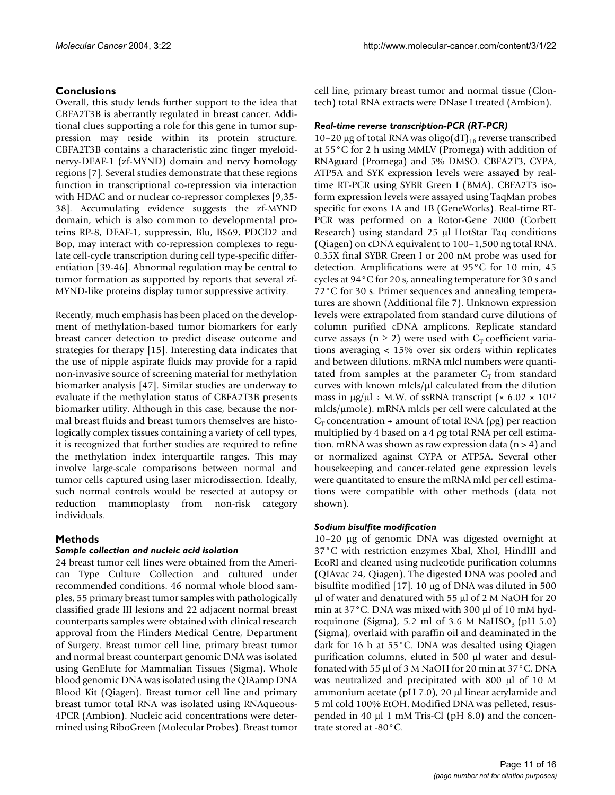# **Conclusions**

Overall, this study lends further support to the idea that CBFA2T3B is aberrantly regulated in breast cancer. Additional clues supporting a role for this gene in tumor suppression may reside within its protein structure. CBFA2T3B contains a characteristic zinc finger myeloidnervy-DEAF-1 (zf-MYND) domain and nervy homology regions [7]. Several studies demonstrate that these regions function in transcriptional co-repression via interaction with HDAC and or nuclear co-repressor complexes [9,35- 38]. Accumulating evidence suggests the zf-MYND domain, which is also common to developmental proteins RP-8, DEAF-1, suppressin, Blu, BS69, PDCD2 and Bop, may interact with co-repression complexes to regulate cell-cycle transcription during cell type-specific differentiation [39-46]. Abnormal regulation may be central to tumor formation as supported by reports that several zf-MYND-like proteins display tumor suppressive activity.

Recently, much emphasis has been placed on the development of methylation-based tumor biomarkers for early breast cancer detection to predict disease outcome and strategies for therapy [15]. Interesting data indicates that the use of nipple aspirate fluids may provide for a rapid non-invasive source of screening material for methylation biomarker analysis [47]. Similar studies are underway to evaluate if the methylation status of CBFA2T3B presents biomarker utility. Although in this case, because the normal breast fluids and breast tumors themselves are histologically complex tissues containing a variety of cell types, it is recognized that further studies are required to refine the methylation index interquartile ranges. This may involve large-scale comparisons between normal and tumor cells captured using laser microdissection. Ideally, such normal controls would be resected at autopsy or reduction mammoplasty from non-risk category individuals.

# **Methods**

## *Sample collection and nucleic acid isolation*

24 breast tumor cell lines were obtained from the American Type Culture Collection and cultured under recommended conditions. 46 normal whole blood samples, 55 primary breast tumor samples with pathologically classified grade III lesions and 22 adjacent normal breast counterparts samples were obtained with clinical research approval from the Flinders Medical Centre, Department of Surgery. Breast tumor cell line, primary breast tumor and normal breast counterpart genomic DNA was isolated using GenElute for Mammalian Tissues (Sigma). Whole blood genomic DNA was isolated using the QIAamp DNA Blood Kit (Qiagen). Breast tumor cell line and primary breast tumor total RNA was isolated using RNAqueous-4PCR (Ambion). Nucleic acid concentrations were determined using RiboGreen (Molecular Probes). Breast tumor

cell line, primary breast tumor and normal tissue (Clontech) total RNA extracts were DNase I treated (Ambion).

# *Real-time reverse transcription-PCR (RT-PCR)*

10–20 µg of total RNA was oligo(dT) $_{16}$  reverse transcribed at 55°C for 2 h using MMLV (Promega) with addition of RNAguard (Promega) and 5% DMSO. CBFA2T3, CYPA, ATP5A and SYK expression levels were assayed by realtime RT-PCR using SYBR Green I (BMA). CBFA2T3 isoform expression levels were assayed using TaqMan probes specific for exons 1A and 1B (GeneWorks). Real-time RT-PCR was performed on a Rotor-Gene 2000 (Corbett Research) using standard 25 µl HotStar Taq conditions (Qiagen) on cDNA equivalent to 100–1,500 ng total RNA. 0.35X final SYBR Green I or 200 nM probe was used for detection. Amplifications were at 95°C for 10 min, 45 cycles at 94°C for 20 s, annealing temperature for 30 s and 72°C for 30 s. Primer sequences and annealing temperatures are shown (Additional file 7). Unknown expression levels were extrapolated from standard curve dilutions of column purified cDNA amplicons. Replicate standard curve assays ( $n \geq 2$ ) were used with  $C<sub>r</sub>$  coefficient variations averaging < 15% over six orders within replicates and between dilutions. mRNA mlcl numbers were quantitated from samples at the parameter  $C_T$  from standard curves with known mlcls/µl calculated from the dilution mass in  $\mu$ g/ $\mu$ l ÷ M.W. of ssRNA transcript (× 6.02 × 10<sup>17</sup> mlcls/µmole). mRNA mlcls per cell were calculated at the  $C_T$  concentration ÷ amount of total RNA ( $\rho$ g) per reaction multiplied by 4 based on a 4 ρg total RNA per cell estimation. mRNA was shown as raw expression data  $(n > 4)$  and or normalized against CYPA or ATP5A. Several other housekeeping and cancer-related gene expression levels were quantitated to ensure the mRNA mlcl per cell estimations were compatible with other methods (data not shown).

# *Sodium bisulfite modification*

10–20 µg of genomic DNA was digested overnight at 37°C with restriction enzymes XbaI, XhoI, HindIII and EcoRI and cleaned using nucleotide purification columns (QIAvac 24, Qiagen). The digested DNA was pooled and bisulfite modified [17]. 10 µg of DNA was diluted in 500 µl of water and denatured with 55 µl of 2 M NaOH for 20 min at 37 °C. DNA was mixed with 300 µl of 10 mM hydroquinone (Sigma), 5.2 ml of 3.6 M NaHSO<sub>3</sub> (pH 5.0) (Sigma), overlaid with paraffin oil and deaminated in the dark for 16 h at 55°C. DNA was desalted using Qiagen purification columns, eluted in 500 µl water and desulfonated with 55 µl of 3 M NaOH for 20 min at 37°C. DNA was neutralized and precipitated with 800 µl of 10 M ammonium acetate (pH 7.0), 20 µl linear acrylamide and 5 ml cold 100% EtOH. Modified DNA was pelleted, resuspended in 40 µl 1 mM Tris-Cl (pH 8.0) and the concentrate stored at -80°C.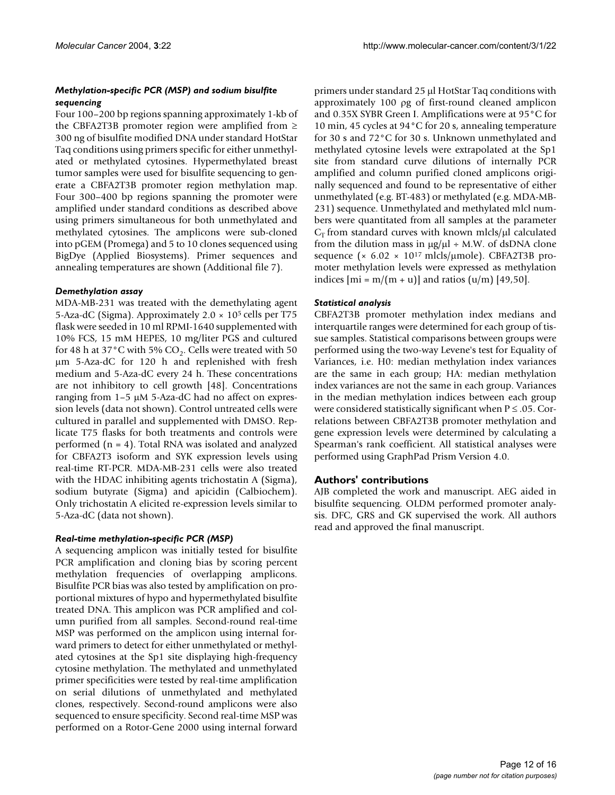# *Methylation-specific PCR (MSP) and sodium bisulfite sequencing*

Four 100–200 bp regions spanning approximately 1-kb of the CBFA2T3B promoter region were amplified from ≥ 300 ng of bisulfite modified DNA under standard HotStar Taq conditions using primers specific for either unmethylated or methylated cytosines. Hypermethylated breast tumor samples were used for bisulfite sequencing to generate a CBFA2T3B promoter region methylation map. Four 300–400 bp regions spanning the promoter were amplified under standard conditions as described above using primers simultaneous for both unmethylated and methylated cytosines. The amplicons were sub-cloned into pGEM (Promega) and 5 to 10 clones sequenced using BigDye (Applied Biosystems). Primer sequences and annealing temperatures are shown (Additional file 7).

## *Demethylation assay*

MDA-MB-231 was treated with the demethylating agent 5-Aza-dC (Sigma). Approximately  $2.0 \times 10^5$  cells per T75 flask were seeded in 10 ml RPMI-1640 supplemented with 10% FCS, 15 mM HEPES, 10 mg/liter PGS and cultured for 48 h at 37 $^{\circ}$ C with 5% CO<sub>2</sub>. Cells were treated with 50 µm 5-Aza-dC for 120 h and replenished with fresh medium and 5-Aza-dC every 24 h. These concentrations are not inhibitory to cell growth [48]. Concentrations ranging from 1–5 µM 5-Aza-dC had no affect on expression levels (data not shown). Control untreated cells were cultured in parallel and supplemented with DMSO. Replicate T75 flasks for both treatments and controls were performed (n = 4). Total RNA was isolated and analyzed for CBFA2T3 isoform and SYK expression levels using real-time RT-PCR. MDA-MB-231 cells were also treated with the HDAC inhibiting agents trichostatin A (Sigma), sodium butyrate (Sigma) and apicidin (Calbiochem). Only trichostatin A elicited re-expression levels similar to 5-Aza-dC (data not shown).

## *Real-time methylation-specific PCR (MSP)*

A sequencing amplicon was initially tested for bisulfite PCR amplification and cloning bias by scoring percent methylation frequencies of overlapping amplicons. Bisulfite PCR bias was also tested by amplification on proportional mixtures of hypo and hypermethylated bisulfite treated DNA. This amplicon was PCR amplified and column purified from all samples. Second-round real-time MSP was performed on the amplicon using internal forward primers to detect for either unmethylated or methylated cytosines at the Sp1 site displaying high-frequency cytosine methylation. The methylated and unmethylated primer specificities were tested by real-time amplification on serial dilutions of unmethylated and methylated clones, respectively. Second-round amplicons were also sequenced to ensure specificity. Second real-time MSP was performed on a Rotor-Gene 2000 using internal forward

primers under standard 25 µl HotStar Taq conditions with approximately 100 ρg of first-round cleaned amplicon and 0.35X SYBR Green I. Amplifications were at 95°C for 10 min, 45 cycles at 94°C for 20 s, annealing temperature for 30 s and 72°C for 30 s. Unknown unmethylated and methylated cytosine levels were extrapolated at the Sp1 site from standard curve dilutions of internally PCR amplified and column purified cloned amplicons originally sequenced and found to be representative of either unmethylated (e.g. BT-483) or methylated (e.g. MDA-MB-231) sequence. Unmethylated and methylated mlcl numbers were quantitated from all samples at the parameter  $C_T$  from standard curves with known mlcls/ $\mu$ l calculated from the dilution mass in  $\mu$ g/ $\mu$ l ÷ M.W. of dsDNA clone sequence ( $\times$  6.02  $\times$  10<sup>17</sup> mlcls/µmole). CBFA2T3B promoter methylation levels were expressed as methylation indices  $[m = m/(m + u)]$  and ratios  $(u/m)$  [49,50].

# *Statistical analysis*

CBFA2T3B promoter methylation index medians and interquartile ranges were determined for each group of tissue samples. Statistical comparisons between groups were performed using the two-way Levene's test for Equality of Variances, i.e. H0: median methylation index variances are the same in each group; HA: median methylation index variances are not the same in each group. Variances in the median methylation indices between each group were considered statistically significant when  $P \le 0.05$ . Correlations between CBFA2T3B promoter methylation and gene expression levels were determined by calculating a Spearman's rank coefficient. All statistical analyses were performed using GraphPad Prism Version 4.0.

# **Authors' contributions**

AJB completed the work and manuscript. AEG aided in bisulfite sequencing. OLDM performed promoter analysis. DFC, GRS and GK supervised the work. All authors read and approved the final manuscript.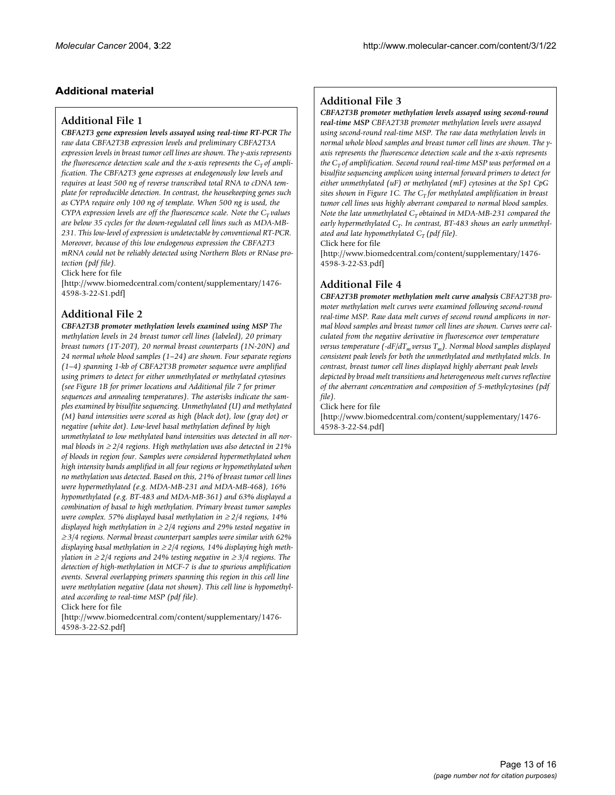# **Additional material**

## **Additional File 1**

*CBFA2T3 gene expression levels assayed using real-time RT-PCR The raw data CBFA2T3B expression levels and preliminary CBFA2T3A expression levels in breast tumor cell lines are shown. The y-axis represents the fluorescence detection scale and the x-axis represents the*  $C_T$  *of amplification. The CBFA2T3 gene expresses at endogenously low levels and requires at least 500 ng of reverse transcribed total RNA to cDNA template for reproducible detection. In contrast, the housekeeping genes such as CYPA require only 100 ng of template. When 500 ng is used, the CYPA expression levels are off the fluorescence scale. Note the*  $C_T$  *values are below 35 cycles for the down-regulated cell lines such as MDA-MB-231. This low-level of expression is undetectable by conventional RT-PCR. Moreover, because of this low endogenous expression the CBFA2T3 mRNA could not be reliably detected using Northern Blots or RNase protection (pdf file).*

Click here for file

[\[http://www.biomedcentral.com/content/supplementary/1476-](http://www.biomedcentral.com/content/supplementary/1476-4598-3-22-S1.pdf) 4598-3-22-S1.pdf]

# **Additional File 2**

*CBFA2T3B promoter methylation levels examined using MSP The methylation levels in 24 breast tumor cell lines (labeled), 20 primary breast tumors (1T-20T), 20 normal breast counterparts (1N-20N) and 24 normal whole blood samples (1–24) are shown. Four separate regions (1–4) spanning 1-kb of CBFA2T3B promoter sequence were amplified using primers to detect for either unmethylated or methylated cytosines (see Figure 1B for primer locations and Additional file 7 for primer sequences and annealing temperatures). The asterisks indicate the samples examined by bisulfite sequencing. Unmethylated (U) and methylated (M) band intensities were scored as high (black dot), low (gray dot) or negative (white dot). Low-level basal methylation defined by high unmethylated to low methylated band intensities was detected in all normal bloods in* ≥ *2/4 regions. High methylation was also detected in 21% of bloods in region four. Samples were considered hypermethylated when high intensity bands amplified in all four regions or hypomethylated when no methylation was detected. Based on this, 21% of breast tumor cell lines were hypermethylated (e.g. MDA-MB-231 and MDA-MB-468), 16% hypomethylated (e.g. BT-483 and MDA-MB-361) and 63% displayed a combination of basal to high methylation. Primary breast tumor samples were complex. 57% displayed basal methylation in* ≥ *2/4 regions, 14% displayed high methylation in* ≥ *2/4 regions and 29% tested negative in*  <sup>≥</sup> *3/4 regions. Normal breast counterpart samples were similar with 62% displaying basal methylation in* ≥ *2/4 regions, 14% displaying high methylation in ≥* 2/4 regions and 24% testing negative in ≥ 3/4 regions. The *detection of high-methylation in MCF-7 is due to spurious amplification events. Several overlapping primers spanning this region in this cell line were methylation negative (data not shown). This cell line is hypomethylated according to real-time MSP (pdf file).*

Click here for file

[\[http://www.biomedcentral.com/content/supplementary/1476-](http://www.biomedcentral.com/content/supplementary/1476-4598-3-22-S2.pdf) 4598-3-22-S2.pdf]

# **Additional File 3**

# *CBFA2T3B promoter methylation levels assayed using second-round*

*real-time MSP CBFA2T3B promoter methylation levels were assayed using second-round real-time MSP. The raw data methylation levels in normal whole blood samples and breast tumor cell lines are shown. The yaxis represents the fluorescence detection scale and the x-axis represents the*  $C_T$  *of amplification. Second round real-time* MSP was performed on a *bisulfite sequencing amplicon using internal forward primers to detect for either unmethylated (uF) or methylated (mF) cytosines at the Sp1 CpG sites shown in Figure 1C. The*  $C_T$  *for methylated amplification in breast tumor cell lines was highly aberrant compared to normal blood samples. Note the late unmethylated*  $C_T$  *obtained in MDA-MB-231 compared the* early hypermethylated C<sub>T</sub>. In contrast, BT-483 shows an early unmethyl*ated and late hypomethylated*  $C_T$  (pdf file).

Click here for file

[\[http://www.biomedcentral.com/content/supplementary/1476-](http://www.biomedcentral.com/content/supplementary/1476-4598-3-22-S3.pdf) 4598-3-22-S3.pdf]

# **Additional File 4**

*CBFA2T3B promoter methylation melt curve analysis CBFA2T3B promoter methylation melt curves were examined following second-round real-time MSP. Raw data melt curves of second round amplicons in normal blood samples and breast tumor cell lines are shown. Curves were calculated from the negative derivative in fluorescence over temperature versus temperature*  $(-dF/dT_m$ *versus*  $T_m$ ). Normal blood samples displayed *consistent peak levels for both the unmethylated and methylated mlcls. In contrast, breast tumor cell lines displayed highly aberrant peak levels depicted by broad melt transitions and heterogeneous melt curves reflective of the aberrant concentration and composition of 5-methylcytosines (pdf file).*

Click here for file

[\[http://www.biomedcentral.com/content/supplementary/1476-](http://www.biomedcentral.com/content/supplementary/1476-4598-3-22-S4.pdf) 4598-3-22-S4.pdf]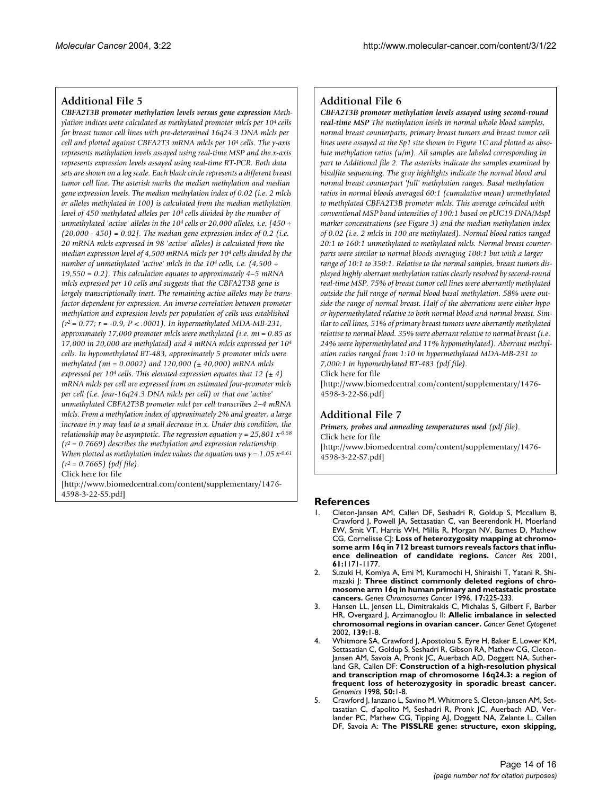#### **Additional File 5**

*CBFA2T3B promoter methylation levels versus gene expression Methylation indices were calculated as methylated promoter mlcls per 104 cells for breast tumor cell lines with pre-determined 16q24.3 DNA mlcls per cell and plotted against CBFA2T3 mRNA mlcls per 104 cells. The y-axis represents methylation levels assayed using real-time MSP and the x-axis represents expression levels assayed using real-time RT-PCR. Both data sets are shown on a log scale. Each black circle represents a different breast tumor cell line. The asterisk marks the median methylation and median gene expression levels. The median methylation index of 0.02 (i.e. 2 mlcls or alleles methylated in 100) is calculated from the median methylation level of 450 methylated alleles per 104 cells divided by the number of unmethylated 'active' alleles in the 104 cells or 20,000 alleles, i.e. [450 ÷ (20,000 - 450) = 0.02]. The median gene expression index of 0.2 (i.e. 20 mRNA mlcls expressed in 98 'active' alleles) is calculated from the median expression level of 4,500 mRNA mlcls per 104 cells divided by the number of unmethylated 'active' mlcls in the 104 cells, i.e. (4,500 ÷ 19,550 = 0.2). This calculation equates to approximately 4–5 mRNA mlcls expressed per 10 cells and suggests that the CBFA2T3B gene is largely transcriptionally inert. The remaining active alleles may be transfactor dependent for expression. An inverse correlation between promoter methylation and expression levels per population of cells was established (r2 = 0.77; r = -0.9, P < .0001). In hypermethylated MDA-MB-231, approximately 17,000 promoter mlcls were methylated (i.e. mi = 0.85 as 17,000 in 20,000 are methylated) and 4 mRNA mlcls expressed per 104 cells. In hypomethylated BT-483, approximately 5 promoter mlcls were methylated (mi = 0.0002) and 120,000 (± 40,000) mRNA mlcls expressed per 104 cells. This elevated expression equates that 12 (± 4) mRNA mlcls per cell are expressed from an estimated four-promoter mlcls per cell (i.e. four-16q24.3 DNA mlcls per cell) or that one 'active' unmethylated CBFA2T3B promoter mlcl per cell transcribes 2–4 mRNA mlcls. From a methylation index of approximately 2% and greater, a large increase in y may lead to a small decrease in x. Under this condition, the relationship may be asymptotic. The regression equation*  $y = 25,801 x^{-0.58}$ *(r2 = 0.7669) describes the methylation and expression relationship. When plotted as methylation index values the equation was*  $\gamma = 1.05 x^{0.61}$ *(r2 = 0.7665) (pdf file).*

Click here for file

[\[http://www.biomedcentral.com/content/supplementary/1476-](http://www.biomedcentral.com/content/supplementary/1476-4598-3-22-S5.pdf) 4598-3-22-S5.pdf]

#### **Additional File 6**

*CBFA2T3B promoter methylation levels assayed using second-round real-time MSP The methylation levels in normal whole blood samples, normal breast counterparts, primary breast tumors and breast tumor cell lines were assayed at the Sp1 site shown in Figure 1C and plotted as absolute methylation ratios (u/m). All samples are labeled corresponding in part to Additional file 2. The asterisks indicate the samples examined by bisulfite sequencing. The gray highlights indicate the normal blood and normal breast counterpart 'full' methylation ranges. Basal methylation ratios in normal bloods averaged 60:1 (cumulative mean) unmethylated to methylated CBFA2T3B promoter mlcls. This average coincided with conventional MSP band intensities of 100:1 based on pUC19 DNA/MspI marker concentrations (see Figure 3) and the median methylation index of 0.02 (i.e. 2 mlcls in 100 are methylated). Normal blood ratios ranged 20:1 to 160:1 unmethylated to methylated mlcls. Normal breast counterparts were similar to normal bloods averaging 100:1 but with a larger range of 10:1 to 350:1. Relative to the normal samples, breast tumors displayed highly aberrant methylation ratios clearly resolved by second-round real-time MSP. 75% of breast tumor cell lines were aberrantly methylated outside the full range of normal blood basal methylation. 58% were outside the range of normal breast. Half of the aberrations were either hypo or hypermethylated relative to both normal blood and normal breast. Similar to cell lines, 51% of primary breast tumors were aberrantly methylated relative to normal blood. 35% were aberrant relative to normal breast (i.e. 24% were hypermethylated and 11% hypomethylated). Aberrant methylation ratios ranged from 1:10 in hypermethylated MDA-MB-231 to 7,000:1 in hypomethylated BT-483 (pdf file).* Click here for file

[\[http://www.biomedcentral.com/content/supplementary/1476-](http://www.biomedcentral.com/content/supplementary/1476-4598-3-22-S6.pdf) 4598-3-22-S6.pdf]

#### **Additional File 7**

*Primers, probes and annealing temperatures used (pdf file).* Click here for file [\[http://www.biomedcentral.com/content/supplementary/1476-](http://www.biomedcentral.com/content/supplementary/1476-4598-3-22-S7.pdf) 4598-3-22-S7.pdf]

#### **References**

- 1. Cleton-Jansen AM, Callen DF, Seshadri R, Goldup S, Mccallum B, Crawford J, Powell JA, Settasatian C, van Beerendonk H, Moerland EW, Smit VT, Harris WH, Millis R, Morgan NV, Barnes D, Mathew CG, Cornelisse CJ: **[Loss of heterozygosity mapping at chromo](http://www.ncbi.nlm.nih.gov/entrez/query.fcgi?cmd=Retrieve&db=PubMed&dopt=Abstract&list_uids=11221848)[some arm 16q in 712 breast tumors reveals factors that influ](http://www.ncbi.nlm.nih.gov/entrez/query.fcgi?cmd=Retrieve&db=PubMed&dopt=Abstract&list_uids=11221848)[ence delineation of candidate regions.](http://www.ncbi.nlm.nih.gov/entrez/query.fcgi?cmd=Retrieve&db=PubMed&dopt=Abstract&list_uids=11221848)** *Cancer Res* 2001, **61:**1171-1177.
- 2. Suzuki H, Komiya A, Emi M, Kuramochi H, Shiraishi T, Yatani R, Shimazaki J: **[Three distinct commonly deleted regions of chro](http://www.ncbi.nlm.nih.gov/entrez/query.fcgi?cmd=Retrieve&db=PubMed&dopt=Abstract&list_uids=10.1002/(SICI)1098-2264(199612)17:4<225::AID-GCC4>3.3.CO;2-S)[mosome arm 16q in human primary and metastatic prostate](http://www.ncbi.nlm.nih.gov/entrez/query.fcgi?cmd=Retrieve&db=PubMed&dopt=Abstract&list_uids=10.1002/(SICI)1098-2264(199612)17:4<225::AID-GCC4>3.3.CO;2-S) [cancers](http://www.ncbi.nlm.nih.gov/entrez/query.fcgi?cmd=Retrieve&db=PubMed&dopt=Abstract&list_uids=10.1002/(SICI)1098-2264(199612)17:4<225::AID-GCC4>3.3.CO;2-S)[.](http://www.ncbi.nlm.nih.gov/entrez/query.fcgi?cmd=Retrieve&db=PubMed&dopt=Abstract&list_uids=8946204)** *Genes Chromosomes Cancer* 1996, **17:**225-233.
- 3. Hansen LL, Jensen LL, Dimitrakakis C, Michalas S, Gilbert F, Barber HR, Overgaard J, Arzimanoglou II: **[Allelic imbalance in selected](http://www.ncbi.nlm.nih.gov/entrez/query.fcgi?cmd=Retrieve&db=PubMed&dopt=Abstract&list_uids=12547149) [chromosomal regions in ovarian cancer](http://www.ncbi.nlm.nih.gov/entrez/query.fcgi?cmd=Retrieve&db=PubMed&dopt=Abstract&list_uids=12547149)[.](http://www.ncbi.nlm.nih.gov/entrez/query.fcgi?cmd=Retrieve&db=PubMed&dopt=Abstract&list_uids=10.1016/S0165-4608(02)00620-9)** *Cancer Genet Cytogenet* 2002, **139:**1-8.
- 4. Whitmore SA, Crawford J, Apostolou S, Eyre H, Baker E, Lower KM, Settasatian C, Goldup S, Seshadri R, Gibson RA, Mathew CG, Cleton-Jansen AM, Savoia A, Pronk JC, Auerbach AD, Doggett NA, Sutherland GR, Callen DF: **[Construction of a high-resolution physical](http://www.ncbi.nlm.nih.gov/entrez/query.fcgi?cmd=Retrieve&db=PubMed&dopt=Abstract&list_uids=10.1006/geno.1998.5316) [and transcription map of chromosome 16q24.3: a region of](http://www.ncbi.nlm.nih.gov/entrez/query.fcgi?cmd=Retrieve&db=PubMed&dopt=Abstract&list_uids=10.1006/geno.1998.5316) [frequent loss of heterozygosity in sporadic breast cancer](http://www.ncbi.nlm.nih.gov/entrez/query.fcgi?cmd=Retrieve&db=PubMed&dopt=Abstract&list_uids=10.1006/geno.1998.5316)[.](http://www.ncbi.nlm.nih.gov/entrez/query.fcgi?cmd=Retrieve&db=PubMed&dopt=Abstract&list_uids=9628816)** *Genomics* 1998, **50:**1-8.
- 5. Crawford J, Ianzano L, Savino M, Whitmore S, Cleton-Jansen AM, Settasatian C, d'apolito M, Seshadri R, Pronk JC, Auerbach AD, Verlander PC, Mathew CG, Tipping AJ, Doggett NA, Zelante L, Callen DF, Savoia A: **[The PISSLRE gene: structure, exon skipping,](http://www.ncbi.nlm.nih.gov/entrez/query.fcgi?cmd=Retrieve&db=PubMed&dopt=Abstract&list_uids=10.1006/geno.1998.5676)**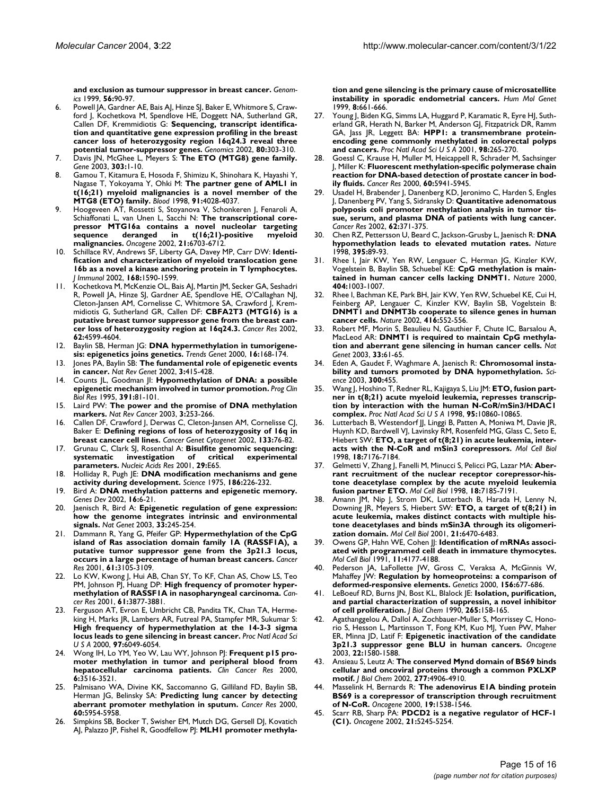**[and exclusion as tumour suppressor in breast cancer](http://www.ncbi.nlm.nih.gov/entrez/query.fcgi?cmd=Retrieve&db=PubMed&dopt=Abstract&list_uids=10.1006/geno.1998.5676)[.](http://www.ncbi.nlm.nih.gov/entrez/query.fcgi?cmd=Retrieve&db=PubMed&dopt=Abstract&list_uids=10036189)** *Genomics* 1999, **56:**90-97.

- 6. Powell JA, Gardner AE, Bais AJ, Hinze SJ, Baker E, Whitmore S, Crawford J, Kochetkova M, Spendlove HE, Doggett NA, Sutherland GR, Callen DF, Kremmidiotis G: **[Sequencing, transcript identifica](http://www.ncbi.nlm.nih.gov/entrez/query.fcgi?cmd=Retrieve&db=PubMed&dopt=Abstract&list_uids=12213200)[tion and quantitative gene expression profiling in the breast](http://www.ncbi.nlm.nih.gov/entrez/query.fcgi?cmd=Retrieve&db=PubMed&dopt=Abstract&list_uids=12213200) cancer loss of heterozygosity region 16q24.3 reveal three [potential tumor-suppressor genes](http://www.ncbi.nlm.nih.gov/entrez/query.fcgi?cmd=Retrieve&db=PubMed&dopt=Abstract&list_uids=12213200)[.](http://www.ncbi.nlm.nih.gov/entrez/query.fcgi?cmd=Retrieve&db=PubMed&dopt=Abstract&list_uids=10.1006/geno.2002.6828)** *Genomics* 2002, **80:**303-310.
- 7. Davis JN, McGhee L, Meyers S: **[The ETO \(MTG8\) gene family](http://www.ncbi.nlm.nih.gov/entrez/query.fcgi?cmd=Retrieve&db=PubMed&dopt=Abstract&list_uids=10.1016/S0378-1119(02)01172-1)[.](http://www.ncbi.nlm.nih.gov/entrez/query.fcgi?cmd=Retrieve&db=PubMed&dopt=Abstract&list_uids=12559562)** *Gene* 2003, **303:**1-10.
- 8. Gamou T, Kitamura E, Hosoda F, Shimizu K, Shinohara K, Hayashi Y, Nagase T, Yokoyama Y, Ohki M: **[The partner gene of AML1 in](http://www.ncbi.nlm.nih.gov/entrez/query.fcgi?cmd=Retrieve&db=PubMed&dopt=Abstract&list_uids=9596646) [t\(16;21\) myeloid malignancies is a novel member of the](http://www.ncbi.nlm.nih.gov/entrez/query.fcgi?cmd=Retrieve&db=PubMed&dopt=Abstract&list_uids=9596646) [MTG8 \(ETO\) family.](http://www.ncbi.nlm.nih.gov/entrez/query.fcgi?cmd=Retrieve&db=PubMed&dopt=Abstract&list_uids=9596646)** *Blood* 1998, **91:**4028-4037.
- 9. Hoogeveen AT, Rossetti S, Stoyanova V, Schonkeren J, Fenaroli A, Schiaffonati L, van Unen L, Sacchi N: **[The transcriptional core](http://www.ncbi.nlm.nih.gov/entrez/query.fcgi?cmd=Retrieve&db=PubMed&dopt=Abstract&list_uids=10.1038/sj.onc.1205882)[pressor MTG16a contains a novel nucleolar targeting](http://www.ncbi.nlm.nih.gov/entrez/query.fcgi?cmd=Retrieve&db=PubMed&dopt=Abstract&list_uids=10.1038/sj.onc.1205882) sequence deranged in t(16;21)-positive myeloid [malignancies](http://www.ncbi.nlm.nih.gov/entrez/query.fcgi?cmd=Retrieve&db=PubMed&dopt=Abstract&list_uids=10.1038/sj.onc.1205882)[.](http://www.ncbi.nlm.nih.gov/entrez/query.fcgi?cmd=Retrieve&db=PubMed&dopt=Abstract&list_uids=12242670)** *Oncogene* 2002, **21:**6703-6712.
- Schillace RV, Andrews SF, Liberty GA, Davey MP, Carr DW: [Identi](http://www.ncbi.nlm.nih.gov/entrez/query.fcgi?cmd=Retrieve&db=PubMed&dopt=Abstract&list_uids=11823486)**[fication and characterization of myeloid translocation gene](http://www.ncbi.nlm.nih.gov/entrez/query.fcgi?cmd=Retrieve&db=PubMed&dopt=Abstract&list_uids=11823486) 16b as a novel a kinase anchoring protein in T lymphocytes.** *J Immunol* 2002, **168:**1590-1599.
- 11. Kochetkova M, McKenzie OL, Bais AJ, Martin JM, Secker GA, Seshadri R, Powell JA, Hinze SJ, Gardner AE, Spendlove HE, O'Callaghan NJ, Cleton-Jansen AM, Cornelisse C, Whitmore SA, Crawford J, Kremmidiotis G, Sutherland GR, Callen DF: **[CBFA2T3 \(MTG16\) is a](http://www.ncbi.nlm.nih.gov/entrez/query.fcgi?cmd=Retrieve&db=PubMed&dopt=Abstract&list_uids=12183414) [putative breast tumor suppressor gene from the breast can](http://www.ncbi.nlm.nih.gov/entrez/query.fcgi?cmd=Retrieve&db=PubMed&dopt=Abstract&list_uids=12183414)[cer loss of heterozygosity region at 16q24.3.](http://www.ncbi.nlm.nih.gov/entrez/query.fcgi?cmd=Retrieve&db=PubMed&dopt=Abstract&list_uids=12183414)** *Cancer Res* 2002, **62:**4599-4604.
- 12. Baylin SB, Herman JG: **[DNA hypermethylation in tumorigene](http://www.ncbi.nlm.nih.gov/entrez/query.fcgi?cmd=Retrieve&db=PubMed&dopt=Abstract&list_uids=10.1016/S0168-9525(99)01971-X)[sis: epigenetics joins genetics](http://www.ncbi.nlm.nih.gov/entrez/query.fcgi?cmd=Retrieve&db=PubMed&dopt=Abstract&list_uids=10.1016/S0168-9525(99)01971-X)[.](http://www.ncbi.nlm.nih.gov/entrez/query.fcgi?cmd=Retrieve&db=PubMed&dopt=Abstract&list_uids=10729832)** *Trends Genet* 2000, **16:**168-174.
- 13. Jones PA, Baylin SB: **[The fundamental role of epigenetic events](http://www.ncbi.nlm.nih.gov/entrez/query.fcgi?cmd=Retrieve&db=PubMed&dopt=Abstract&list_uids=10.1038/nrg962) [in cancer](http://www.ncbi.nlm.nih.gov/entrez/query.fcgi?cmd=Retrieve&db=PubMed&dopt=Abstract&list_uids=10.1038/nrg962)[.](http://www.ncbi.nlm.nih.gov/entrez/query.fcgi?cmd=Retrieve&db=PubMed&dopt=Abstract&list_uids=12042769)** *Nat Rev Genet* 2002, **3:**415-428.
- 14. Counts JL, Goodman JI: **[Hypomethylation of DNA: a possible](http://www.ncbi.nlm.nih.gov/entrez/query.fcgi?cmd=Retrieve&db=PubMed&dopt=Abstract&list_uids=8532739) [epigenetic mechanism involved in tumor promotion.](http://www.ncbi.nlm.nih.gov/entrez/query.fcgi?cmd=Retrieve&db=PubMed&dopt=Abstract&list_uids=8532739)** *Prog Clin Biol Res* 1995, **391:**81-101.
- 15. Laird PW: **[The power and the promise of DNA methylation](http://www.ncbi.nlm.nih.gov/entrez/query.fcgi?cmd=Retrieve&db=PubMed&dopt=Abstract&list_uids=10.1038/nrc1045) [markers](http://www.ncbi.nlm.nih.gov/entrez/query.fcgi?cmd=Retrieve&db=PubMed&dopt=Abstract&list_uids=10.1038/nrc1045)[.](http://www.ncbi.nlm.nih.gov/entrez/query.fcgi?cmd=Retrieve&db=PubMed&dopt=Abstract&list_uids=12671664)** *Nat Rev Cancer* 2003, **3:**253-266.
- 16. Callen DF, Crawford J, Derwas C, Cleton-Jansen AM, Cornelisse CJ, Baker E: **[Defining regions of loss of heterozygosity of 16q in](http://www.ncbi.nlm.nih.gov/entrez/query.fcgi?cmd=Retrieve&db=PubMed&dopt=Abstract&list_uids=11890994) [breast cancer cell lines](http://www.ncbi.nlm.nih.gov/entrez/query.fcgi?cmd=Retrieve&db=PubMed&dopt=Abstract&list_uids=11890994)[.](http://www.ncbi.nlm.nih.gov/entrez/query.fcgi?cmd=Retrieve&db=PubMed&dopt=Abstract&list_uids=10.1016/S0165-4608(01)00565-9)** *Cancer Genet Cytogenet* 2002, **133:**76-82.
- 17. Grunau C, Clark SJ, Rosenthal A: **[Bisulfite genomic sequencing:](http://www.ncbi.nlm.nih.gov/entrez/query.fcgi?cmd=Retrieve&db=PubMed&dopt=Abstract&list_uids=10.1093/nar/29.13.e65) [systematic investigation of critical experimental](http://www.ncbi.nlm.nih.gov/entrez/query.fcgi?cmd=Retrieve&db=PubMed&dopt=Abstract&list_uids=10.1093/nar/29.13.e65) [parameters](http://www.ncbi.nlm.nih.gov/entrez/query.fcgi?cmd=Retrieve&db=PubMed&dopt=Abstract&list_uids=10.1093/nar/29.13.e65)[.](http://www.ncbi.nlm.nih.gov/entrez/query.fcgi?cmd=Retrieve&db=PubMed&dopt=Abstract&list_uids=55789)** *Nucleic Acids Res* 2001, **29:**E65.
- 18. Holliday R, Pugh JE: **DNA modification mechanisms and gene activity during development.** *Science* 1975, **186:**226-232.
- 19. Bird A: **[DNA methylation patterns and epigenetic memory](http://www.ncbi.nlm.nih.gov/entrez/query.fcgi?cmd=Retrieve&db=PubMed&dopt=Abstract&list_uids=10.1101/gad.947102)[.](http://www.ncbi.nlm.nih.gov/entrez/query.fcgi?cmd=Retrieve&db=PubMed&dopt=Abstract&list_uids=11782440)** *Genes Dev* 2002, **16:**6-21.
- 20. Jaenisch R, Bird A: **[Epigenetic regulation of gene expression:](http://www.ncbi.nlm.nih.gov/entrez/query.fcgi?cmd=Retrieve&db=PubMed&dopt=Abstract&list_uids=10.1038/ng1089) [how the genome integrates intrinsic and environmental](http://www.ncbi.nlm.nih.gov/entrez/query.fcgi?cmd=Retrieve&db=PubMed&dopt=Abstract&list_uids=10.1038/ng1089) [signals](http://www.ncbi.nlm.nih.gov/entrez/query.fcgi?cmd=Retrieve&db=PubMed&dopt=Abstract&list_uids=10.1038/ng1089)[.](http://www.ncbi.nlm.nih.gov/entrez/query.fcgi?cmd=Retrieve&db=PubMed&dopt=Abstract&list_uids=12610534)** *Nat Genet* 2003, **33:**245-254.
- 21. Dammann R, Yang G, Pfeifer GP: **[Hypermethylation of the CpG](http://www.ncbi.nlm.nih.gov/entrez/query.fcgi?cmd=Retrieve&db=PubMed&dopt=Abstract&list_uids=11306494) [island of Ras association domain family 1A \(RASSF1A\), a](http://www.ncbi.nlm.nih.gov/entrez/query.fcgi?cmd=Retrieve&db=PubMed&dopt=Abstract&list_uids=11306494) putative tumor suppressor gene from the 3p21.3 locus, [occurs in a large percentage of human breast cancers.](http://www.ncbi.nlm.nih.gov/entrez/query.fcgi?cmd=Retrieve&db=PubMed&dopt=Abstract&list_uids=11306494)** *Cancer Res* 2001, **61:**3105-3109.
- 22. Lo KW, Kwong J, Hui AB, Chan SY, To KF, Chan AS, Chow LS, Teo PM, Johnson PJ, Huang DP: **[High frequency of promoter hyper](http://www.ncbi.nlm.nih.gov/entrez/query.fcgi?cmd=Retrieve&db=PubMed&dopt=Abstract&list_uids=11358799)[methylation of RASSF1A in nasopharyngeal carcinoma.](http://www.ncbi.nlm.nih.gov/entrez/query.fcgi?cmd=Retrieve&db=PubMed&dopt=Abstract&list_uids=11358799)** *Cancer Res* 2001, **61:**3877-3881.
- 23. Ferguson AT, Evron E, Umbricht CB, Pandita TK, Chan TA, Hermeking H, Marks JR, Lambers AR, Futreal PA, Stampfer MR, Sukumar S: **[High frequency of hypermethylation at the 14-3-3 sigma](http://www.ncbi.nlm.nih.gov/entrez/query.fcgi?cmd=Retrieve&db=PubMed&dopt=Abstract&list_uids=10.1073/pnas.100566997) [locus leads to gene silencing in breast cancer](http://www.ncbi.nlm.nih.gov/entrez/query.fcgi?cmd=Retrieve&db=PubMed&dopt=Abstract&list_uids=10.1073/pnas.100566997)[.](http://www.ncbi.nlm.nih.gov/entrez/query.fcgi?cmd=Retrieve&db=PubMed&dopt=Abstract&list_uids=18556)** *Proc Natl Acad Sci U S A* 2000, **97:**6049-6054.
- 24. Wong IH, Lo YM, Yeo W, Lau WY, Johnson PJ: **[Frequent p15 pro](http://www.ncbi.nlm.nih.gov/entrez/query.fcgi?cmd=Retrieve&db=PubMed&dopt=Abstract&list_uids=10999738)[moter methylation in tumor and peripheral blood from](http://www.ncbi.nlm.nih.gov/entrez/query.fcgi?cmd=Retrieve&db=PubMed&dopt=Abstract&list_uids=10999738) [hepatocellular carcinoma patients.](http://www.ncbi.nlm.nih.gov/entrez/query.fcgi?cmd=Retrieve&db=PubMed&dopt=Abstract&list_uids=10999738)** *Clin Cancer Res* 2000, **6:**3516-3521.
- 25. Palmisano WA, Divine KK, Saccomanno G, Gilliland FD, Baylin SB, Herman JG, Belinsky SA: **[Predicting lung cancer by detecting](http://www.ncbi.nlm.nih.gov/entrez/query.fcgi?cmd=Retrieve&db=PubMed&dopt=Abstract&list_uids=11085511) [aberrant promoter methylation in sputum.](http://www.ncbi.nlm.nih.gov/entrez/query.fcgi?cmd=Retrieve&db=PubMed&dopt=Abstract&list_uids=11085511)** *Cancer Res* 2000, **60:**5954-5958.
- 26. Simpkins SB, Bocker T, Swisher EM, Mutch DG, Gersell DJ, Kovatich AJ, Palazzo JP, Fishel R, Goodfellow PJ: **[MLH1 promoter methyla-](http://www.ncbi.nlm.nih.gov/entrez/query.fcgi?cmd=Retrieve&db=PubMed&dopt=Abstract&list_uids=10.1093/hmg/8.4.661)**

**[tion and gene silencing is the primary cause of microsatellite](http://www.ncbi.nlm.nih.gov/entrez/query.fcgi?cmd=Retrieve&db=PubMed&dopt=Abstract&list_uids=10.1093/hmg/8.4.661) [instability in sporadic endometrial cancers](http://www.ncbi.nlm.nih.gov/entrez/query.fcgi?cmd=Retrieve&db=PubMed&dopt=Abstract&list_uids=10.1093/hmg/8.4.661)[.](http://www.ncbi.nlm.nih.gov/entrez/query.fcgi?cmd=Retrieve&db=PubMed&dopt=Abstract&list_uids=10072435)** *Hum Mol Genet* 1999, **8:**661-666.

- 27. Young J, Biden KG, Simms LA, Huggard P, Karamatic R, Eyre HJ, Sutherland GR, Herath N, Barker M, Anderson GJ, Fitzpatrick DR, Ramm GA, Jass JR, Leggett BA: **[HPP1: a transmembrane protein](http://www.ncbi.nlm.nih.gov/entrez/query.fcgi?cmd=Retrieve&db=PubMed&dopt=Abstract&list_uids=10.1073/pnas.011415298)[encoding gene commonly methylated in colorectal polyps](http://www.ncbi.nlm.nih.gov/entrez/query.fcgi?cmd=Retrieve&db=PubMed&dopt=Abstract&list_uids=10.1073/pnas.011415298) [and cancers](http://www.ncbi.nlm.nih.gov/entrez/query.fcgi?cmd=Retrieve&db=PubMed&dopt=Abstract&list_uids=10.1073/pnas.011415298)[.](http://www.ncbi.nlm.nih.gov/entrez/query.fcgi?cmd=Retrieve&db=PubMed&dopt=Abstract&list_uids=14579)** *Proc Natl Acad Sci U S A* 2001, **98:**265-270.
- Goessl C, Krause H, Muller M, Heicappell R, Schrader M, Sachsinger J, Miller K: **[Fluorescent methylation-specific polymerase chain](http://www.ncbi.nlm.nih.gov/entrez/query.fcgi?cmd=Retrieve&db=PubMed&dopt=Abstract&list_uids=11085508) [reaction for DNA-based detection of prostate cancer in bod](http://www.ncbi.nlm.nih.gov/entrez/query.fcgi?cmd=Retrieve&db=PubMed&dopt=Abstract&list_uids=11085508)[ily fluids.](http://www.ncbi.nlm.nih.gov/entrez/query.fcgi?cmd=Retrieve&db=PubMed&dopt=Abstract&list_uids=11085508)** *Cancer Res* 2000, **60:**5941-5945.
- 29. Usadel H, Brabender J, Danenberg KD, Jeronimo C, Harden S, Engles J, Danenberg PV, Yang S, Sidransky D: **[Quantitative adenomatous](http://www.ncbi.nlm.nih.gov/entrez/query.fcgi?cmd=Retrieve&db=PubMed&dopt=Abstract&list_uids=11809682) [polyposis coli promoter methylation analysis in tumor tis](http://www.ncbi.nlm.nih.gov/entrez/query.fcgi?cmd=Retrieve&db=PubMed&dopt=Abstract&list_uids=11809682)sue, serum, and plasma DNA of patients with lung cancer.** *Cancer Res* 2002, **62:**371-375.
- 30. Chen RZ, Pettersson U, Beard C, Jackson-Grusby L, Jaenisch R: **[DNA](http://www.ncbi.nlm.nih.gov/entrez/query.fcgi?cmd=Retrieve&db=PubMed&dopt=Abstract&list_uids=10.1038/25779) [hypomethylation leads to elevated mutation rates](http://www.ncbi.nlm.nih.gov/entrez/query.fcgi?cmd=Retrieve&db=PubMed&dopt=Abstract&list_uids=10.1038/25779)[.](http://www.ncbi.nlm.nih.gov/entrez/query.fcgi?cmd=Retrieve&db=PubMed&dopt=Abstract&list_uids=9738504)** *Nature* 1998, **395:**89-93.
- 31. Rhee I, Jair KW, Yen RW, Lengauer C, Herman JG, Kinzler KW, Vogelstein B, Baylin SB, Schuebel KE: **[CpG methylation is main](http://www.ncbi.nlm.nih.gov/entrez/query.fcgi?cmd=Retrieve&db=PubMed&dopt=Abstract&list_uids=10.1038/35010000)[tained in human cancer cells lacking DNMT1](http://www.ncbi.nlm.nih.gov/entrez/query.fcgi?cmd=Retrieve&db=PubMed&dopt=Abstract&list_uids=10.1038/35010000)[.](http://www.ncbi.nlm.nih.gov/entrez/query.fcgi?cmd=Retrieve&db=PubMed&dopt=Abstract&list_uids=10801130)** *Nature* 2000, **404:**1003-1007.
- 32. Rhee I, Bachman KE, Park BH, Jair KW, Yen RW, Schuebel KE, Cui H, Feinberg AP, Lengauer C, Kinzler KW, Baylin SB, Vogelstein B: **[DNMT1 and DNMT3b cooperate to silence genes in human](http://www.ncbi.nlm.nih.gov/entrez/query.fcgi?cmd=Retrieve&db=PubMed&dopt=Abstract&list_uids=10.1038/416552a) [cancer cells](http://www.ncbi.nlm.nih.gov/entrez/query.fcgi?cmd=Retrieve&db=PubMed&dopt=Abstract&list_uids=10.1038/416552a)[.](http://www.ncbi.nlm.nih.gov/entrez/query.fcgi?cmd=Retrieve&db=PubMed&dopt=Abstract&list_uids=11932749)** *Nature* 2002, **416:**552-556.
- 33. Robert MF, Morin S, Beaulieu N, Gauthier F, Chute IC, Barsalou A, MacLeod AR: **[DNMT1 is required to maintain CpG methyla](http://www.ncbi.nlm.nih.gov/entrez/query.fcgi?cmd=Retrieve&db=PubMed&dopt=Abstract&list_uids=10.1038/ng1068)[tion and aberrant gene silencing in human cancer cells](http://www.ncbi.nlm.nih.gov/entrez/query.fcgi?cmd=Retrieve&db=PubMed&dopt=Abstract&list_uids=10.1038/ng1068)[.](http://www.ncbi.nlm.nih.gov/entrez/query.fcgi?cmd=Retrieve&db=PubMed&dopt=Abstract&list_uids=12496760)** *Nat Genet* 2003, **33:**61-65.
- 34. Eden A, Gaudet F, Waghmare A, Jaenisch R: **[Chromosomal insta](http://www.ncbi.nlm.nih.gov/entrez/query.fcgi?cmd=Retrieve&db=PubMed&dopt=Abstract&list_uids=10.1126/science.1083557)[bility and tumors promoted by DNA hypomethylation](http://www.ncbi.nlm.nih.gov/entrez/query.fcgi?cmd=Retrieve&db=PubMed&dopt=Abstract&list_uids=10.1126/science.1083557)[.](http://www.ncbi.nlm.nih.gov/entrez/query.fcgi?cmd=Retrieve&db=PubMed&dopt=Abstract&list_uids=12702868)** *Science* 2003, **300:**455.
- 35. Wang J, Hoshino T, Redner RL, Kajigaya S, Liu JM: **[ETO, fusion part](http://www.ncbi.nlm.nih.gov/entrez/query.fcgi?cmd=Retrieve&db=PubMed&dopt=Abstract&list_uids=10.1073/pnas.95.18.10860)[ner in t\(8;21\) acute myeloid leukemia, represses transcrip](http://www.ncbi.nlm.nih.gov/entrez/query.fcgi?cmd=Retrieve&db=PubMed&dopt=Abstract&list_uids=10.1073/pnas.95.18.10860)tion by interaction with the human N-CoR/mSin3/HDAC1 [complex](http://www.ncbi.nlm.nih.gov/entrez/query.fcgi?cmd=Retrieve&db=PubMed&dopt=Abstract&list_uids=10.1073/pnas.95.18.10860)[.](http://www.ncbi.nlm.nih.gov/entrez/query.fcgi?cmd=Retrieve&db=PubMed&dopt=Abstract&list_uids=27986)** *Proc Natl Acad Sci U S A* 1998, **95:**10860-10865.
- 36. Lutterbach B, Westendorf JJ, Linggi B, Patten A, Moniwa M, Davie JR, Huynh KD, Bardwell VJ, Lavinsky RM, Rosenfeld MG, Glass C, Seto E, Hiebert SW: **[ETO, a target of t\(8;21\) in acute leukemia, inter](http://www.ncbi.nlm.nih.gov/entrez/query.fcgi?cmd=Retrieve&db=PubMed&dopt=Abstract&list_uids=109299)[acts with the N-CoR and mSin3 corepressors](http://www.ncbi.nlm.nih.gov/entrez/query.fcgi?cmd=Retrieve&db=PubMed&dopt=Abstract&list_uids=109299)[.](http://www.ncbi.nlm.nih.gov/entrez/query.fcgi?cmd=Retrieve&db=PubMed&dopt=Abstract&list_uids=9819404)** *Mol Cell Biol* 1998, **18:**7176-7184.
- 37. Gelmetti V, Zhang J, Fanelli M, Minucci S, Pelicci PG, Lazar MA: **[Aber](http://www.ncbi.nlm.nih.gov/entrez/query.fcgi?cmd=Retrieve&db=PubMed&dopt=Abstract&list_uids=109300)[rant recruitment of the nuclear receptor corepressor-his](http://www.ncbi.nlm.nih.gov/entrez/query.fcgi?cmd=Retrieve&db=PubMed&dopt=Abstract&list_uids=109300)tone deacetylase complex by the acute myeloid leukemia [fusion partner ETO](http://www.ncbi.nlm.nih.gov/entrez/query.fcgi?cmd=Retrieve&db=PubMed&dopt=Abstract&list_uids=109300)[.](http://www.ncbi.nlm.nih.gov/entrez/query.fcgi?cmd=Retrieve&db=PubMed&dopt=Abstract&list_uids=9819405)** *Mol Cell Biol* 1998, **18:**7185-7191.
- 38. Amann JM, Nip J, Strom DK, Lutterbach B, Harada H, Lenny N, Downing JR, Meyers S, Hiebert SW: **[ETO, a target of t\(8;21\) in](http://www.ncbi.nlm.nih.gov/entrez/query.fcgi?cmd=Retrieve&db=PubMed&dopt=Abstract&list_uids=11533236) [acute leukemia, makes distinct contacts with multiple his](http://www.ncbi.nlm.nih.gov/entrez/query.fcgi?cmd=Retrieve&db=PubMed&dopt=Abstract&list_uids=11533236)tone deacetylases and binds mSin3A through its oligomeri[zation domain](http://www.ncbi.nlm.nih.gov/entrez/query.fcgi?cmd=Retrieve&db=PubMed&dopt=Abstract&list_uids=11533236)[.](http://www.ncbi.nlm.nih.gov/entrez/query.fcgi?cmd=Retrieve&db=PubMed&dopt=Abstract&list_uids=99794)** *Mol Cell Biol* 2001, **21:**6470-6483.
- 39. Owens GP, Hahn WE, Cohen JJ: **[Identification of mRNAs associ](http://www.ncbi.nlm.nih.gov/entrez/query.fcgi?cmd=Retrieve&db=PubMed&dopt=Abstract&list_uids=361239)[ated with programmed cell death in immature thymocytes](http://www.ncbi.nlm.nih.gov/entrez/query.fcgi?cmd=Retrieve&db=PubMed&dopt=Abstract&list_uids=361239)[.](http://www.ncbi.nlm.nih.gov/entrez/query.fcgi?cmd=Retrieve&db=PubMed&dopt=Abstract&list_uids=2072913)** *Mol Cell Biol* 1991, **11:**4177-4188.
- 40. Pederson JA, LaFollette JW, Gross C, Veraksa A, McGinnis W, Mahaffey JW: **[Regulation by homeoproteins: a comparison of](http://www.ncbi.nlm.nih.gov/entrez/query.fcgi?cmd=Retrieve&db=PubMed&dopt=Abstract&list_uids=11014815) [deformed-responsive elements.](http://www.ncbi.nlm.nih.gov/entrez/query.fcgi?cmd=Retrieve&db=PubMed&dopt=Abstract&list_uids=11014815)** *Genetics* 2000, **156:**677-686.
- 41. LeBoeuf RD, Burns JN, Bost KL, Blalock JE: **[Isolation, purification,](http://www.ncbi.nlm.nih.gov/entrez/query.fcgi?cmd=Retrieve&db=PubMed&dopt=Abstract&list_uids=2294102) [and partial characterization of suppressin, a novel inhibitor](http://www.ncbi.nlm.nih.gov/entrez/query.fcgi?cmd=Retrieve&db=PubMed&dopt=Abstract&list_uids=2294102) [of cell proliferation.](http://www.ncbi.nlm.nih.gov/entrez/query.fcgi?cmd=Retrieve&db=PubMed&dopt=Abstract&list_uids=2294102)** *J Biol Chem* 1990, **265:**158-165.
- Agathanggelou A, Dallol A, Zochbauer-Muller S, Morrissey C, Honorio S, Hesson L, Martinsson T, Fong KM, Kuo MJ, Yuen PW, Maher ER, Minna JD, Latif F: **[Epigenetic inactivation of the candidate](http://www.ncbi.nlm.nih.gov/entrez/query.fcgi?cmd=Retrieve&db=PubMed&dopt=Abstract&list_uids=10.1038/sj.onc.1206243) [3p21.3 suppressor gene BLU in human cancers](http://www.ncbi.nlm.nih.gov/entrez/query.fcgi?cmd=Retrieve&db=PubMed&dopt=Abstract&list_uids=10.1038/sj.onc.1206243)[.](http://www.ncbi.nlm.nih.gov/entrez/query.fcgi?cmd=Retrieve&db=PubMed&dopt=Abstract&list_uids=12629521)** *Oncogene* 2003, **22:**1580-1588.
- 43. Ansieau S, Leutz A: **[The conserved Mynd domain of BS69 binds](http://www.ncbi.nlm.nih.gov/entrez/query.fcgi?cmd=Retrieve&db=PubMed&dopt=Abstract&list_uids=10.1074/jbc.M110078200) [cellular and oncoviral proteins through a common PXLXP](http://www.ncbi.nlm.nih.gov/entrez/query.fcgi?cmd=Retrieve&db=PubMed&dopt=Abstract&list_uids=10.1074/jbc.M110078200) [motif](http://www.ncbi.nlm.nih.gov/entrez/query.fcgi?cmd=Retrieve&db=PubMed&dopt=Abstract&list_uids=10.1074/jbc.M110078200)[.](http://www.ncbi.nlm.nih.gov/entrez/query.fcgi?cmd=Retrieve&db=PubMed&dopt=Abstract&list_uids=11733528)** *J Biol Chem* 2002, **277:**4906-4910.
- 44. Masselink H, Bernards R: **[The adenovirus E1A binding protein](http://www.ncbi.nlm.nih.gov/entrez/query.fcgi?cmd=Retrieve&db=PubMed&dopt=Abstract&list_uids=10.1038/sj.onc.1203421) [BS69 is a corepressor of transcription through recruitment](http://www.ncbi.nlm.nih.gov/entrez/query.fcgi?cmd=Retrieve&db=PubMed&dopt=Abstract&list_uids=10.1038/sj.onc.1203421) [of N-CoR](http://www.ncbi.nlm.nih.gov/entrez/query.fcgi?cmd=Retrieve&db=PubMed&dopt=Abstract&list_uids=10.1038/sj.onc.1203421)[.](http://www.ncbi.nlm.nih.gov/entrez/query.fcgi?cmd=Retrieve&db=PubMed&dopt=Abstract&list_uids=10734313)** *Oncogene* 2000, **19:**1538-1546.
- 45. Scarr RB, Sharp PA: **[PDCD2 is a negative regulator of HCF-1](http://www.ncbi.nlm.nih.gov/entrez/query.fcgi?cmd=Retrieve&db=PubMed&dopt=Abstract&list_uids=10.1038/sj.onc.1205647) [\(C1\)](http://www.ncbi.nlm.nih.gov/entrez/query.fcgi?cmd=Retrieve&db=PubMed&dopt=Abstract&list_uids=10.1038/sj.onc.1205647)[.](http://www.ncbi.nlm.nih.gov/entrez/query.fcgi?cmd=Retrieve&db=PubMed&dopt=Abstract&list_uids=12149646)** *Oncogene* 2002, **21:**5245-5254.